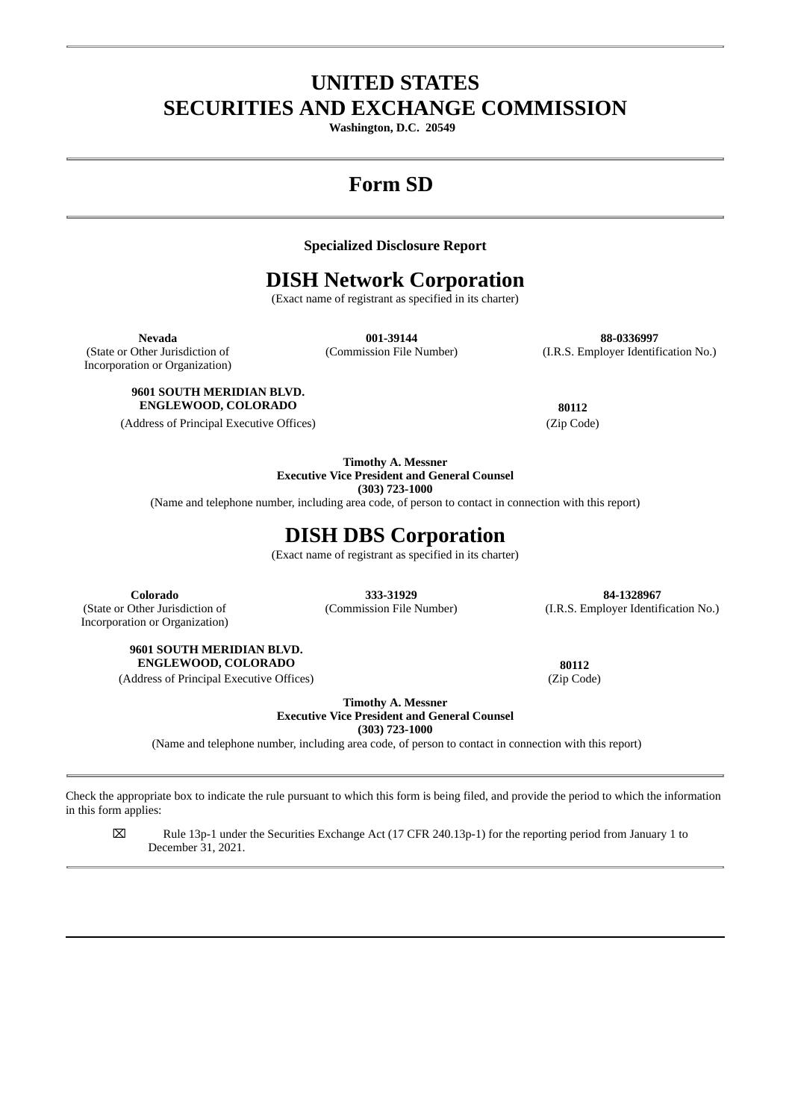# **UNITED STATES SECURITIES AND EXCHANGE COMMISSION**

**Washington, D.C. 20549**

# **Form SD**

## **Specialized Disclosure Report**

## **DISH Network Corporation**

(Exact name of registrant as specified in its charter)

(State or Other Jurisdiction of Incorporation or Organization)

**Nevada 001-39144 88-0336997** (Commission File Number) (I.R.S. Employer Identification No.)

## **9601 SOUTH MERIDIAN BLVD. ENGLEWOOD, COLORADO 80112**

(Address of Principal Executive Offices) (Zip Code)

**Timothy A. Messner Executive Vice President and General Counsel**

**(303) 723-1000**

(Name and telephone number, including area code, of person to contact in connection with this report)

## **DISH DBS Corporation**

(Exact name of registrant as specified in its charter)

(State or Other Jurisdiction of Incorporation or Organization)

**Colorado 333-31929 84-1328967** (Commission File Number) (I.R.S. Employer Identification No.)

**9601 SOUTH MERIDIAN BLVD. ENGLEWOOD, COLORADO 80112**

(Address of Principal Executive Offices) (Zip Code)

**Timothy A. Messner**

**Executive Vice President and General Counsel**

**(303) 723-1000**

(Name and telephone number, including area code, of person to contact in connection with this report)

Check the appropriate box to indicate the rule pursuant to which this form is being filed, and provide the period to which the information in this form applies:

⌧ Rule 13p-1 under the Securities Exchange Act (17 CFR 240.13p-1) for the reporting period from January 1 to December 31, 2021.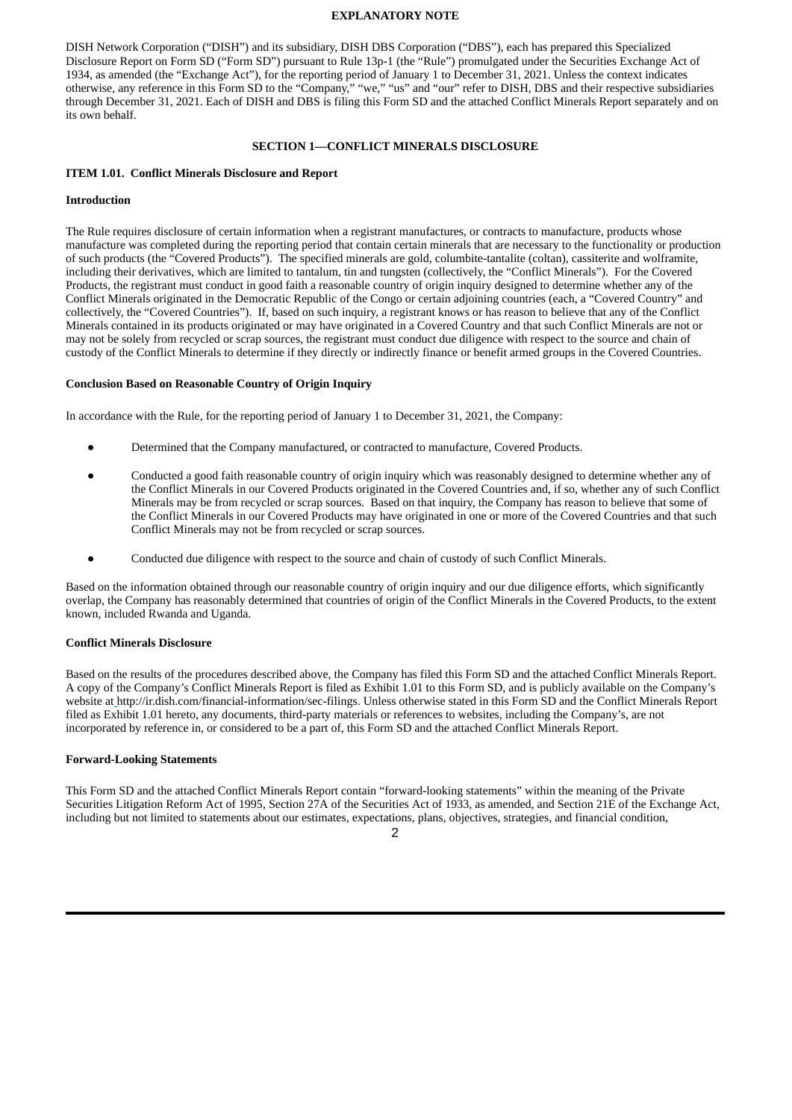#### **EXPLANATORY NOTE**

DISH Network Corporation ("DISH") and its subsidiary, DISH DBS Corporation ("DBS"), each has prepared this Specialized Disclosure Report on Form SD ("Form SD") pursuant to Rule 13p-1 (the "Rule") promulgated under the Securities Exchange Act of 1934, as amended (the "Exchange Act"), for the reporting period of January 1 to December 31, 2021. Unless the context indicates otherwise, any reference in this Form SD to the "Company," "we," "us" and "our" refer to DISH, DBS and their respective subsidiaries through December 31, 2021. Each of DISH and DBS is filing this Form SD and the attached Conflict Minerals Report separately and on its own behalf.

#### **SECTION 1—CONFLICT MINERALS DISCLOSURE**

#### **ITEM 1.01. Conflict Minerals Disclosure and Report**

#### **Introduction**

The Rule requires disclosure of certain information when a registrant manufactures, or contracts to manufacture, products whose manufacture was completed during the reporting period that contain certain minerals that are necessary to the functionality or production of such products (the "Covered Products"). The specified minerals are gold, columbite-tantalite (coltan), cassiterite and wolframite, including their derivatives, which are limited to tantalum, tin and tungsten (collectively, the "Conflict Minerals"). For the Covered Products, the registrant must conduct in good faith a reasonable country of origin inquiry designed to determine whether any of the Conflict Minerals originated in the Democratic Republic of the Congo or certain adjoining countries (each, a "Covered Country" and collectively, the "Covered Countries"). If, based on such inquiry, a registrant knows or has reason to believe that any of the Conflict Minerals contained in its products originated or may have originated in a Covered Country and that such Conflict Minerals are not or may not be solely from recycled or scrap sources, the registrant must conduct due diligence with respect to the source and chain of custody of the Conflict Minerals to determine if they directly or indirectly finance or benefit armed groups in the Covered Countries.

#### **Conclusion Based on Reasonable Country of Origin Inquiry**

In accordance with the Rule, for the reporting period of January 1 to December 31, 2021, the Company:

- Determined that the Company manufactured, or contracted to manufacture, Covered Products.
- Conducted a good faith reasonable country of origin inquiry which was reasonably designed to determine whether any of the Conflict Minerals in our Covered Products originated in the Covered Countries and, if so, whether any of such Conflict Minerals may be from recycled or scrap sources. Based on that inquiry, the Company has reason to believe that some of the Conflict Minerals in our Covered Products may have originated in one or more of the Covered Countries and that such Conflict Minerals may not be from recycled or scrap sources.
- Conducted due diligence with respect to the source and chain of custody of such Conflict Minerals.

Based on the information obtained through our reasonable country of origin inquiry and our due diligence efforts, which significantly overlap, the Company has reasonably determined that countries of origin of the Conflict Minerals in the Covered Products, to the extent known, included Rwanda and Uganda.

#### **Conflict Minerals Disclosure**

Based on the results of the procedures described above, the Company has filed this Form SD and the attached Conflict Minerals Report. A copy of the Company's Conflict Minerals Report is filed as Exhibit 1.01 to this Form SD, and is publicly available on the Company's website at http://ir.dish.com/financial-information/sec-filings. Unless otherwise stated in this Form SD and the Conflict Minerals Report filed as Exhibit 1.01 hereto, any documents, third-party materials or references to websites, including the Company's, are not incorporated by reference in, or considered to be a part of, this Form SD and the attached Conflict Minerals Report.

#### **Forward-Looking Statements**

This Form SD and the attached Conflict Minerals Report contain "forward-looking statements" within the meaning of the Private Securities Litigation Reform Act of 1995, Section 27A of the Securities Act of 1933, as amended, and Section 21E of the Exchange Act, including but not limited to statements about our estimates, expectations, plans, objectives, strategies, and financial condition,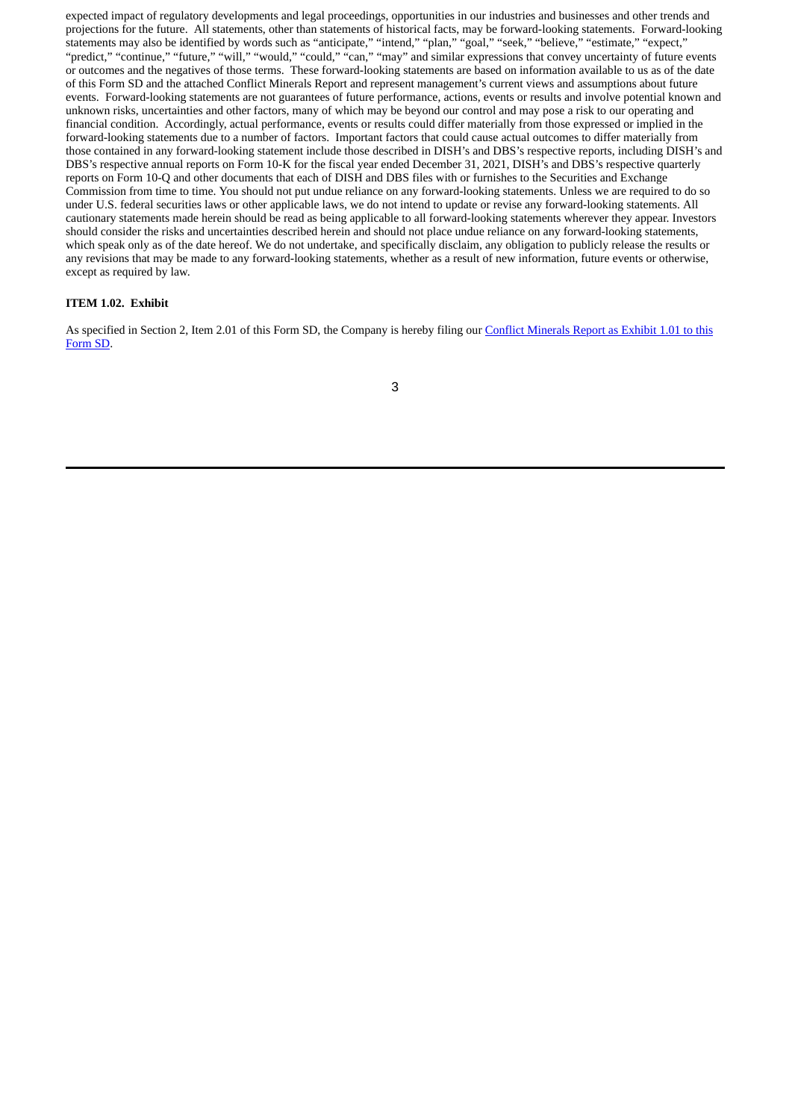expected impact of regulatory developments and legal proceedings, opportunities in our industries and businesses and other trends and projections for the future. All statements, other than statements of historical facts, may be forward-looking statements. Forward-looking statements may also be identified by words such as "anticipate," "intend," "plan," "goal," "seek," "believe," "estimate," "expect," "predict," "continue," "future," "will," "would," "could," "can," "may" and similar expressions that convey uncertainty of future events or outcomes and the negatives of those terms. These forward-looking statements are based on information available to us as of the date of this Form SD and the attached Conflict Minerals Report and represent management's current views and assumptions about future events. Forward-looking statements are not guarantees of future performance, actions, events or results and involve potential known and unknown risks, uncertainties and other factors, many of which may be beyond our control and may pose a risk to our operating and financial condition. Accordingly, actual performance, events or results could differ materially from those expressed or implied in the forward-looking statements due to a number of factors. Important factors that could cause actual outcomes to differ materially from those contained in any forward-looking statement include those described in DISH's and DBS's respective reports, including DISH's and DBS's respective annual reports on Form 10-K for the fiscal year ended December 31, 2021, DISH's and DBS's respective quarterly reports on Form 10-Q and other documents that each of DISH and DBS files with or furnishes to the Securities and Exchange Commission from time to time. You should not put undue reliance on any forward-looking statements. Unless we are required to do so under U.S. federal securities laws or other applicable laws, we do not intend to update or revise any forward-looking statements. All cautionary statements made herein should be read as being applicable to all forward-looking statements wherever they appear. Investors should consider the risks and uncertainties described herein and should not place undue reliance on any forward-looking statements, which speak only as of the date hereof. We do not undertake, and specifically disclaim, any obligation to publicly release the results or any revisions that may be made to any forward-looking statements, whether as a result of new information, future events or otherwise, except as required by law.

## **ITEM 1.02. Exhibit**

As specified in Section 2, Item 2.01 of this Form SD, the [Company](#page-4-0) is hereby filing our Conflict Minerals Report as Exhibit 1.01 to this Form SD.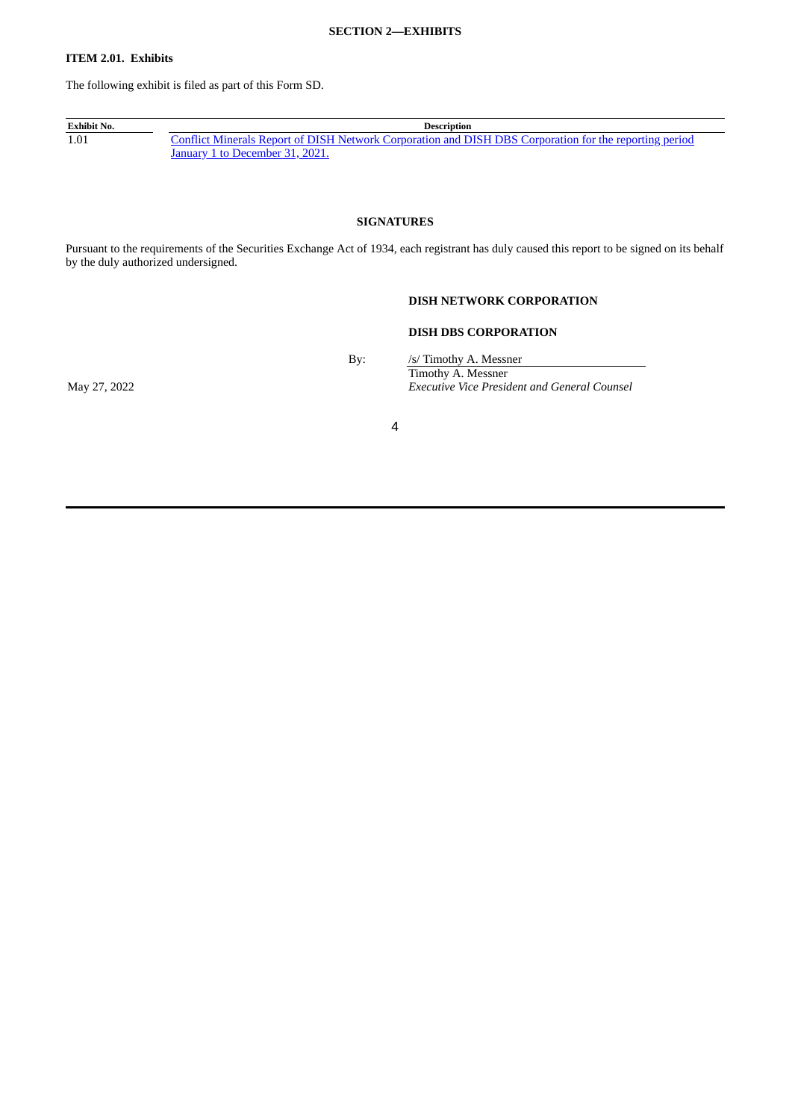#### **SECTION 2—EXHIBITS**

## **ITEM 2.01. Exhibits**

The following exhibit is filed as part of this Form SD.

**Exhibit No. Description**<br>1.01 **Conflict Minerals Report of DISH Network Corporation and D** Conflict Minerals Report of DISH Network [Corporation](#page-4-0) and DISH DBS Corporation for the reporting period January 1 to December 31, 2021.

## **SIGNATURES**

Pursuant to the requirements of the Securities Exchange Act of 1934, each registrant has duly caused this report to be signed on its behalf by the duly authorized undersigned.

## **DISH NETWORK CORPORATION**

### **DISH DBS CORPORATION**

By: /s/ Timothy A. Messner Timothy A. Messner May 27, 2022 *Executive Vice President and General Counsel*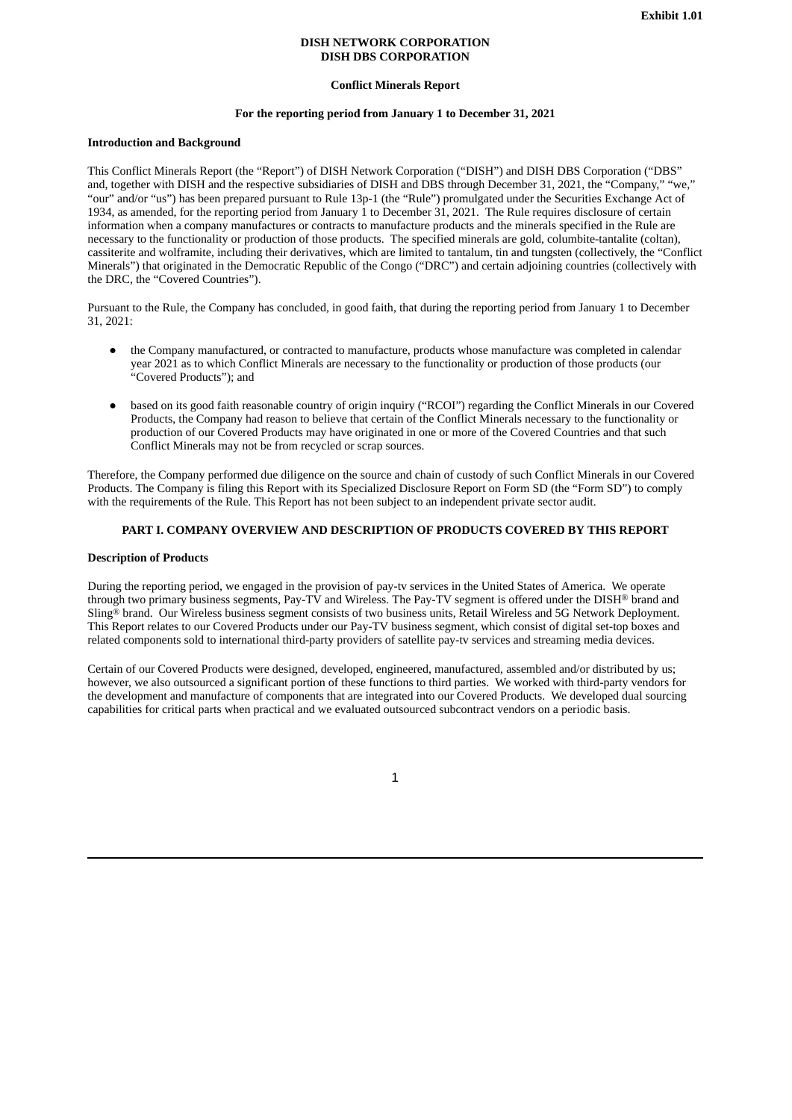#### **DISH NETWORK CORPORATION DISH DBS CORPORATION**

#### **Conflict Minerals Report**

#### **For the reporting period from January 1 to December 31, 2021**

#### <span id="page-4-0"></span>**Introduction and Background**

This Conflict Minerals Report (the "Report") of DISH Network Corporation ("DISH") and DISH DBS Corporation ("DBS" and, together with DISH and the respective subsidiaries of DISH and DBS through December 31, 2021, the "Company," "we," "our" and/or "us") has been prepared pursuant to Rule 13p-1 (the "Rule") promulgated under the Securities Exchange Act of 1934, as amended, for the reporting period from January 1 to December 31, 2021. The Rule requires disclosure of certain information when a company manufactures or contracts to manufacture products and the minerals specified in the Rule are necessary to the functionality or production of those products. The specified minerals are gold, columbite-tantalite (coltan), cassiterite and wolframite, including their derivatives, which are limited to tantalum, tin and tungsten (collectively, the "Conflict Minerals") that originated in the Democratic Republic of the Congo ("DRC") and certain adjoining countries (collectively with the DRC, the "Covered Countries").

Pursuant to the Rule, the Company has concluded, in good faith, that during the reporting period from January 1 to December 31, 2021:

- the Company manufactured, or contracted to manufacture, products whose manufacture was completed in calendar year 2021 as to which Conflict Minerals are necessary to the functionality or production of those products (our "Covered Products"); and
- based on its good faith reasonable country of origin inquiry ("RCOI") regarding the Conflict Minerals in our Covered Products, the Company had reason to believe that certain of the Conflict Minerals necessary to the functionality or production of our Covered Products may have originated in one or more of the Covered Countries and that such Conflict Minerals may not be from recycled or scrap sources.

Therefore, the Company performed due diligence on the source and chain of custody of such Conflict Minerals in our Covered Products. The Company is filing this Report with its Specialized Disclosure Report on Form SD (the "Form SD") to comply with the requirements of the Rule. This Report has not been subject to an independent private sector audit.

## **PART I. COMPANY OVERVIEW AND DESCRIPTION OF PRODUCTS COVERED BY THIS REPORT**

#### **Description of Products**

During the reporting period, we engaged in the provision of pay-tv services in the United States of America. We operate through two primary business segments, Pay-TV and Wireless. The Pay-TV segment is offered under the DISH® brand and Sling® brand. Our Wireless business segment consists of two business units, Retail Wireless and 5G Network Deployment. This Report relates to our Covered Products under our Pay-TV business segment, which consist of digital set-top boxes and related components sold to international third-party providers of satellite pay-tv services and streaming media devices.

Certain of our Covered Products were designed, developed, engineered, manufactured, assembled and/or distributed by us; however, we also outsourced a significant portion of these functions to third parties. We worked with third-party vendors for the development and manufacture of components that are integrated into our Covered Products. We developed dual sourcing capabilities for critical parts when practical and we evaluated outsourced subcontract vendors on a periodic basis.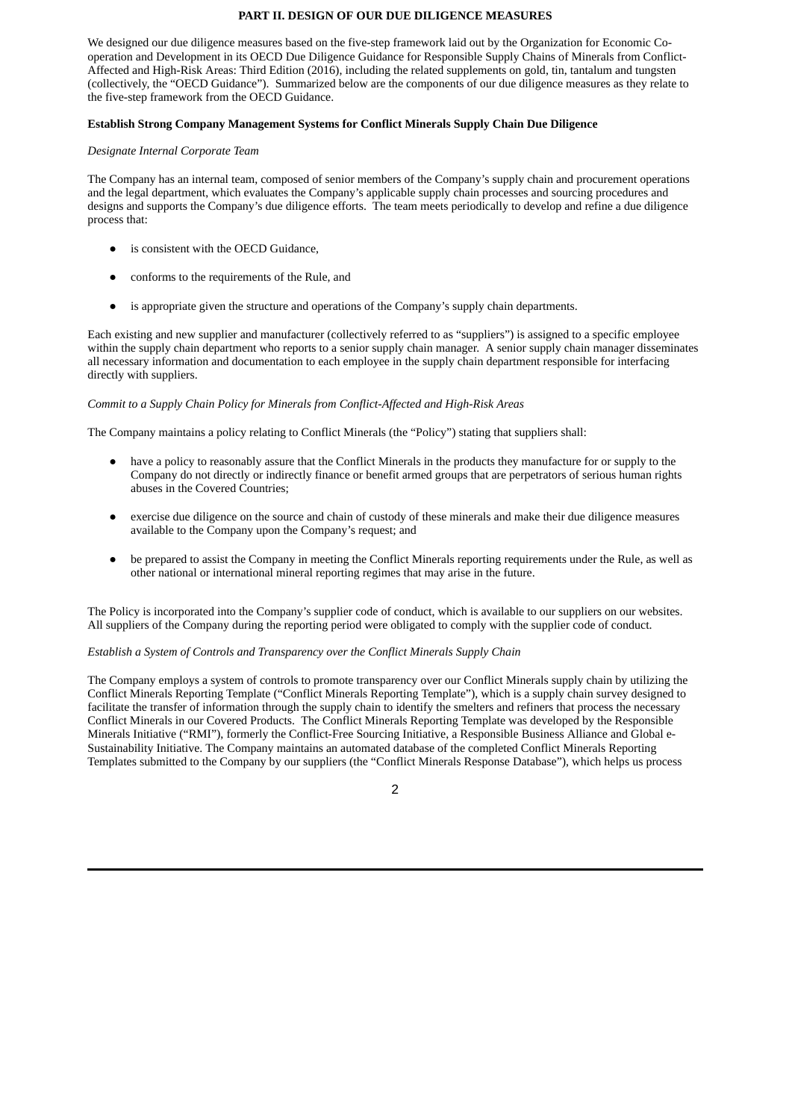#### **PART II. DESIGN OF OUR DUE DILIGENCE MEASURES**

We designed our due diligence measures based on the five-step framework laid out by the Organization for Economic Cooperation and Development in its OECD Due Diligence Guidance for Responsible Supply Chains of Minerals from Conflict-Affected and High-Risk Areas: Third Edition (2016), including the related supplements on gold, tin, tantalum and tungsten (collectively, the "OECD Guidance"). Summarized below are the components of our due diligence measures as they relate to the five-step framework from the OECD Guidance.

#### **Establish Strong Company Management Systems for Conflict Minerals Supply Chain Due Diligence**

#### *Designate Internal Corporate Team*

The Company has an internal team, composed of senior members of the Company's supply chain and procurement operations and the legal department, which evaluates the Company's applicable supply chain processes and sourcing procedures and designs and supports the Company's due diligence efforts. The team meets periodically to develop and refine a due diligence process that:

- is consistent with the OECD Guidance,
- conforms to the requirements of the Rule, and
- is appropriate given the structure and operations of the Company's supply chain departments.

Each existing and new supplier and manufacturer (collectively referred to as "suppliers") is assigned to a specific employee within the supply chain department who reports to a senior supply chain manager. A senior supply chain manager disseminates all necessary information and documentation to each employee in the supply chain department responsible for interfacing directly with suppliers.

#### *Commit to a Supply Chain Policy for Minerals from Conflict-Affected and High-Risk Areas*

The Company maintains a policy relating to Conflict Minerals (the "Policy") stating that suppliers shall:

- have a policy to reasonably assure that the Conflict Minerals in the products they manufacture for or supply to the Company do not directly or indirectly finance or benefit armed groups that are perpetrators of serious human rights abuses in the Covered Countries;
- exercise due diligence on the source and chain of custody of these minerals and make their due diligence measures available to the Company upon the Company's request; and
- be prepared to assist the Company in meeting the Conflict Minerals reporting requirements under the Rule, as well as other national or international mineral reporting regimes that may arise in the future.

The Policy is incorporated into the Company's supplier code of conduct, which is available to our suppliers on our websites. All suppliers of the Company during the reporting period were obligated to comply with the supplier code of conduct.

#### *Establish a System of Controls and Transparency over the Conflict Minerals Supply Chain*

The Company employs a system of controls to promote transparency over our Conflict Minerals supply chain by utilizing the Conflict Minerals Reporting Template ("Conflict Minerals Reporting Template"), which is a supply chain survey designed to facilitate the transfer of information through the supply chain to identify the smelters and refiners that process the necessary Conflict Minerals in our Covered Products. The Conflict Minerals Reporting Template was developed by the Responsible Minerals Initiative ("RMI"), formerly the Conflict-Free Sourcing Initiative, a Responsible Business Alliance and Global e-Sustainability Initiative. The Company maintains an automated database of the completed Conflict Minerals Reporting Templates submitted to the Company by our suppliers (the "Conflict Minerals Response Database"), which helps us process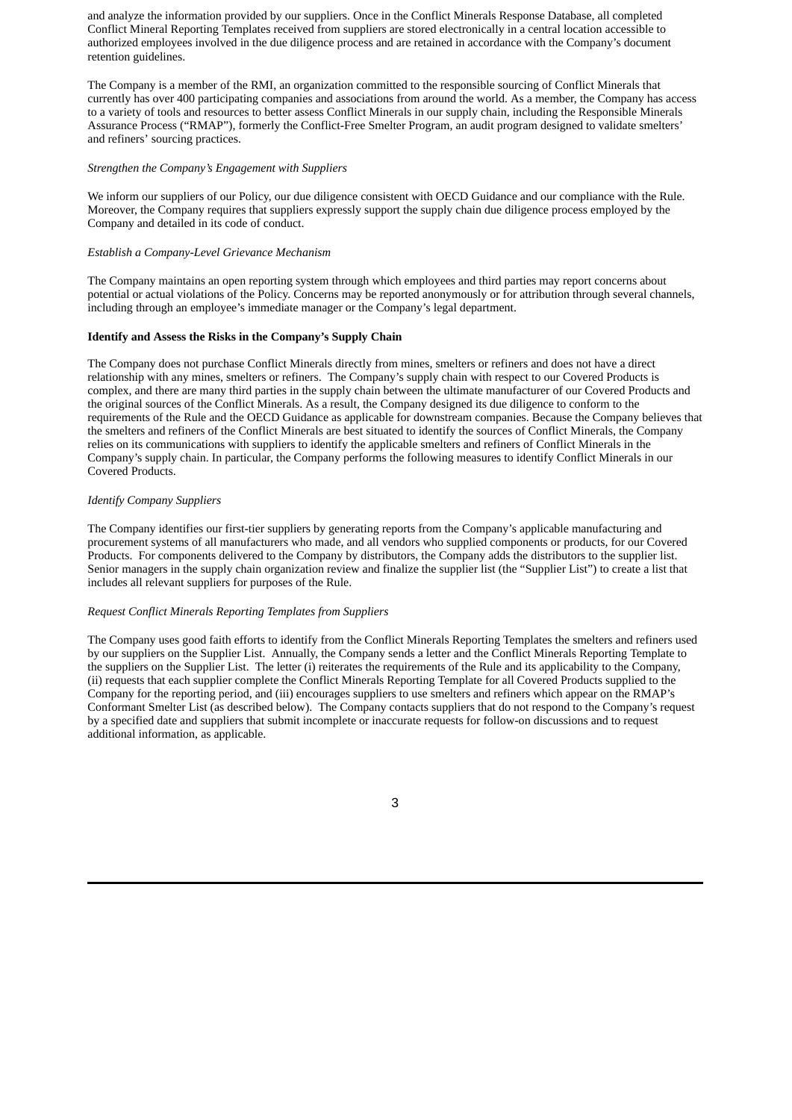and analyze the information provided by our suppliers. Once in the Conflict Minerals Response Database, all completed Conflict Mineral Reporting Templates received from suppliers are stored electronically in a central location accessible to authorized employees involved in the due diligence process and are retained in accordance with the Company's document retention guidelines.

The Company is a member of the RMI, an organization committed to the responsible sourcing of Conflict Minerals that currently has over 400 participating companies and associations from around the world. As a member, the Company has access to a variety of tools and resources to better assess Conflict Minerals in our supply chain, including the Responsible Minerals Assurance Process ("RMAP"), formerly the Conflict-Free Smelter Program, an audit program designed to validate smelters' and refiners' sourcing practices.

#### *Strengthen the Company's Engagement with Suppliers*

We inform our suppliers of our Policy, our due diligence consistent with OECD Guidance and our compliance with the Rule. Moreover, the Company requires that suppliers expressly support the supply chain due diligence process employed by the Company and detailed in its code of conduct.

#### *Establish a Company-Level Grievance Mechanism*

The Company maintains an open reporting system through which employees and third parties may report concerns about potential or actual violations of the Policy. Concerns may be reported anonymously or for attribution through several channels, including through an employee's immediate manager or the Company's legal department.

#### **Identify and Assess the Risks in the Company's Supply Chain**

The Company does not purchase Conflict Minerals directly from mines, smelters or refiners and does not have a direct relationship with any mines, smelters or refiners. The Company's supply chain with respect to our Covered Products is complex, and there are many third parties in the supply chain between the ultimate manufacturer of our Covered Products and the original sources of the Conflict Minerals. As a result, the Company designed its due diligence to conform to the requirements of the Rule and the OECD Guidance as applicable for downstream companies. Because the Company believes that the smelters and refiners of the Conflict Minerals are best situated to identify the sources of Conflict Minerals, the Company relies on its communications with suppliers to identify the applicable smelters and refiners of Conflict Minerals in the Company's supply chain. In particular, the Company performs the following measures to identify Conflict Minerals in our Covered Products.

#### *Identify Company Suppliers*

The Company identifies our first-tier suppliers by generating reports from the Company's applicable manufacturing and procurement systems of all manufacturers who made, and all vendors who supplied components or products, for our Covered Products. For components delivered to the Company by distributors, the Company adds the distributors to the supplier list. Senior managers in the supply chain organization review and finalize the supplier list (the "Supplier List") to create a list that includes all relevant suppliers for purposes of the Rule.

#### *Request Conflict Minerals Reporting Templates from Suppliers*

The Company uses good faith efforts to identify from the Conflict Minerals Reporting Templates the smelters and refiners used by our suppliers on the Supplier List. Annually, the Company sends a letter and the Conflict Minerals Reporting Template to the suppliers on the Supplier List. The letter (i) reiterates the requirements of the Rule and its applicability to the Company, (ii) requests that each supplier complete the Conflict Minerals Reporting Template for all Covered Products supplied to the Company for the reporting period, and (iii) encourages suppliers to use smelters and refiners which appear on the RMAP's Conformant Smelter List (as described below). The Company contacts suppliers that do not respond to the Company's request by a specified date and suppliers that submit incomplete or inaccurate requests for follow-on discussions and to request additional information, as applicable.

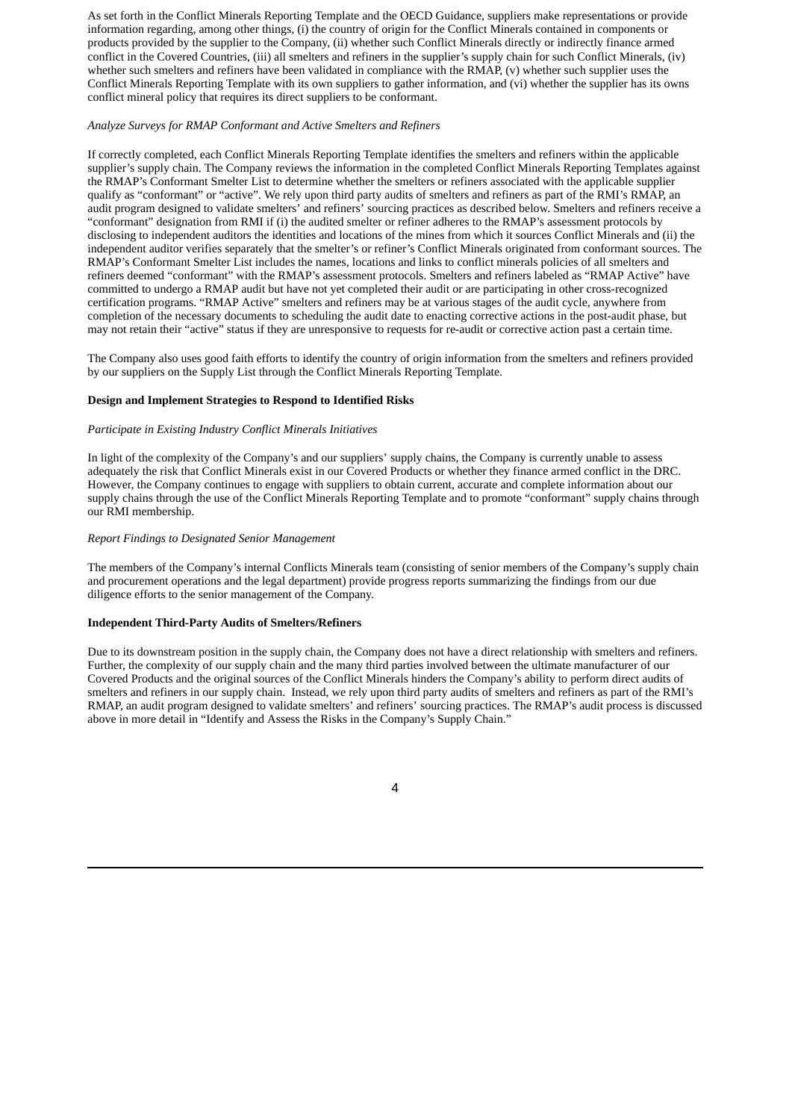As set forth in the Conflict Minerals Reporting Template and the OECD Guidance, suppliers make representations or provide information regarding, among other things, (i) the country of origin for the Conflict Minerals contained in components or products provided by the supplier to the Company, (ii) whether such Conflict Minerals directly or indirectly finance armed conflict in the Covered Countries, (iii) all smelters and refiners in the supplier's supply chain for such Conflict Minerals, (iv) whether such smelters and refiners have been validated in compliance with the RMAP, (v) whether such supplier uses the Conflict Minerals Reporting Template with its own suppliers to gather information, and (vi) whether the supplier has its owns conflict mineral policy that requires its direct suppliers to be conformant.

### *Analyze Surveys for RMAP Conformant and Active Smelters and Refiners*

If correctly completed, each Conflict Minerals Reporting Template identifies the smelters and refiners within the applicable supplier's supply chain. The Company reviews the information in the completed Conflict Minerals Reporting Templates against the RMAP's Conformant Smelter List to determine whether the smelters or refiners associated with the applicable supplier qualify as "conformant" or "active". We rely upon third party audits of smelters and refiners as part of the RMI's RMAP, an audit program designed to validate smelters' and refiners' sourcing practices as described below. Smelters and refiners receive a "conformant" designation from RMI if (i) the audited smelter or refiner adheres to the RMAP's assessment protocols by disclosing to independent auditors the identities and locations of the mines from which it sources Conflict Minerals and (ii) the independent auditor verifies separately that the smelter's or refiner's Conflict Minerals originated from conformant sources. The RMAP's Conformant Smelter List includes the names, locations and links to conflict minerals policies of all smelters and refiners deemed "conformant" with the RMAP's assessment protocols. Smelters and refiners labeled as "RMAP Active" have committed to undergo a RMAP audit but have not yet completed their audit or are participating in other cross-recognized certification programs. "RMAP Active" smelters and refiners may be at various stages of the audit cycle, anywhere from completion of the necessary documents to scheduling the audit date to enacting corrective actions in the post-audit phase, but may not retain their "active" status if they are unresponsive to requests for re-audit or corrective action past a certain time.

The Company also uses good faith efforts to identify the country of origin information from the smelters and refiners provided by our suppliers on the Supply List through the Conflict Minerals Reporting Template.

## **Design and Implement Strategies to Respond to Identified Risks**

#### *Participate in Existing Industry Conflict Minerals Initiatives*

In light of the complexity of the Company's and our suppliers' supply chains, the Company is currently unable to assess adequately the risk that Conflict Minerals exist in our Covered Products or whether they finance armed conflict in the DRC. However, the Company continues to engage with suppliers to obtain current, accurate and complete information about our supply chains through the use of the Conflict Minerals Reporting Template and to promote "conformant" supply chains through our RMI membership.

#### *Report Findings to Designated Senior Management*

The members of the Company's internal Conflicts Minerals team (consisting of senior members of the Company's supply chain and procurement operations and the legal department) provide progress reports summarizing the findings from our due diligence efforts to the senior management of the Company.

#### **Independent Third-Party Audits of Smelters/Refiners**

Due to its downstream position in the supply chain, the Company does not have a direct relationship with smelters and refiners. Further, the complexity of our supply chain and the many third parties involved between the ultimate manufacturer of our Covered Products and the original sources of the Conflict Minerals hinders the Company's ability to perform direct audits of smelters and refiners in our supply chain. Instead, we rely upon third party audits of smelters and refiners as part of the RMI's RMAP, an audit program designed to validate smelters' and refiners' sourcing practices. The RMAP's audit process is discussed above in more detail in "Identify and Assess the Risks in the Company's Supply Chain."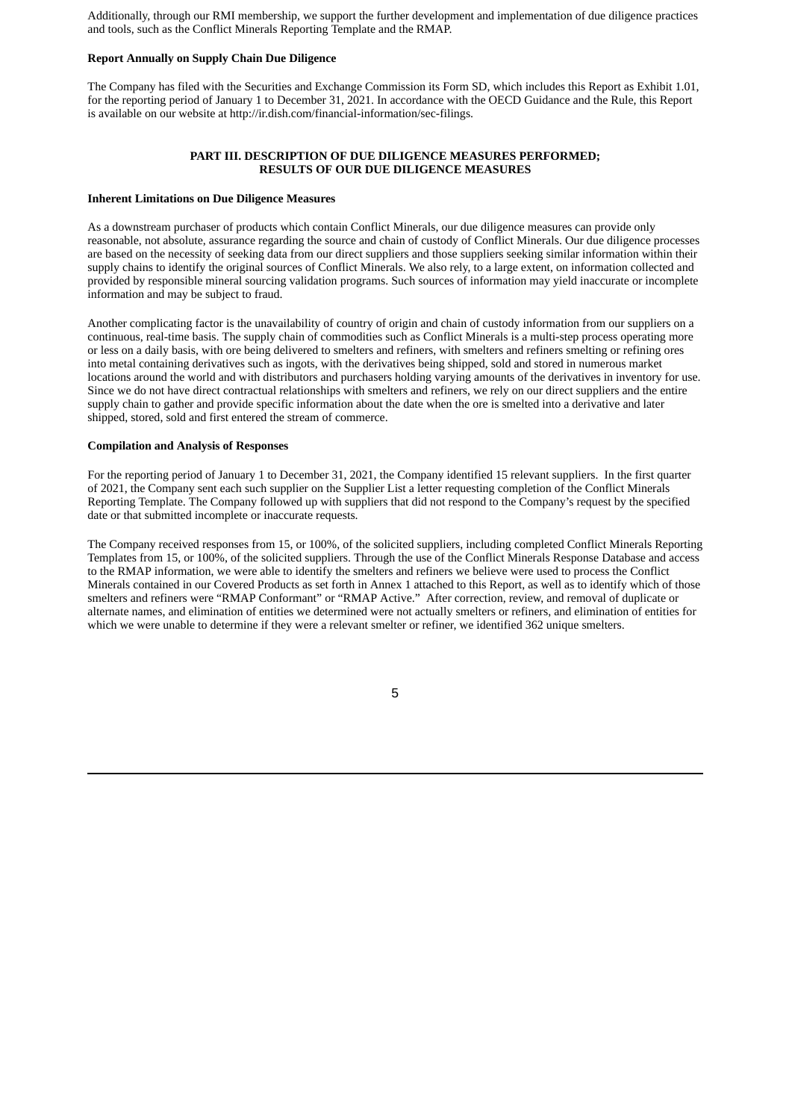Additionally, through our RMI membership, we support the further development and implementation of due diligence practices and tools, such as the Conflict Minerals Reporting Template and the RMAP.

#### **Report Annually on Supply Chain Due Diligence**

The Company has filed with the Securities and Exchange Commission its Form SD, which includes this Report as Exhibit 1.01, for the reporting period of January 1 to December 31, 2021. In accordance with the OECD Guidance and the Rule, this Report is available on our website at http://ir.dish.com/financial-information/sec-filings.

### **PART III. DESCRIPTION OF DUE DILIGENCE MEASURES PERFORMED; RESULTS OF OUR DUE DILIGENCE MEASURES**

#### **Inherent Limitations on Due Diligence Measures**

As a downstream purchaser of products which contain Conflict Minerals, our due diligence measures can provide only reasonable, not absolute, assurance regarding the source and chain of custody of Conflict Minerals. Our due diligence processes are based on the necessity of seeking data from our direct suppliers and those suppliers seeking similar information within their supply chains to identify the original sources of Conflict Minerals. We also rely, to a large extent, on information collected and provided by responsible mineral sourcing validation programs. Such sources of information may yield inaccurate or incomplete information and may be subject to fraud.

Another complicating factor is the unavailability of country of origin and chain of custody information from our suppliers on a continuous, real-time basis. The supply chain of commodities such as Conflict Minerals is a multi-step process operating more or less on a daily basis, with ore being delivered to smelters and refiners, with smelters and refiners smelting or refining ores into metal containing derivatives such as ingots, with the derivatives being shipped, sold and stored in numerous market locations around the world and with distributors and purchasers holding varying amounts of the derivatives in inventory for use. Since we do not have direct contractual relationships with smelters and refiners, we rely on our direct suppliers and the entire supply chain to gather and provide specific information about the date when the ore is smelted into a derivative and later shipped, stored, sold and first entered the stream of commerce.

#### **Compilation and Analysis of Responses**

For the reporting period of January 1 to December 31, 2021, the Company identified 15 relevant suppliers. In the first quarter of 2021, the Company sent each such supplier on the Supplier List a letter requesting completion of the Conflict Minerals Reporting Template. The Company followed up with suppliers that did not respond to the Company's request by the specified date or that submitted incomplete or inaccurate requests.

The Company received responses from 15, or 100%, of the solicited suppliers, including completed Conflict Minerals Reporting Templates from 15, or 100%, of the solicited suppliers. Through the use of the Conflict Minerals Response Database and access to the RMAP information, we were able to identify the smelters and refiners we believe were used to process the Conflict Minerals contained in our Covered Products as set forth in Annex 1 attached to this Report, as well as to identify which of those smelters and refiners were "RMAP Conformant" or "RMAP Active." After correction, review, and removal of duplicate or alternate names, and elimination of entities we determined were not actually smelters or refiners, and elimination of entities for which we were unable to determine if they were a relevant smelter or refiner, we identified 362 unique smelters.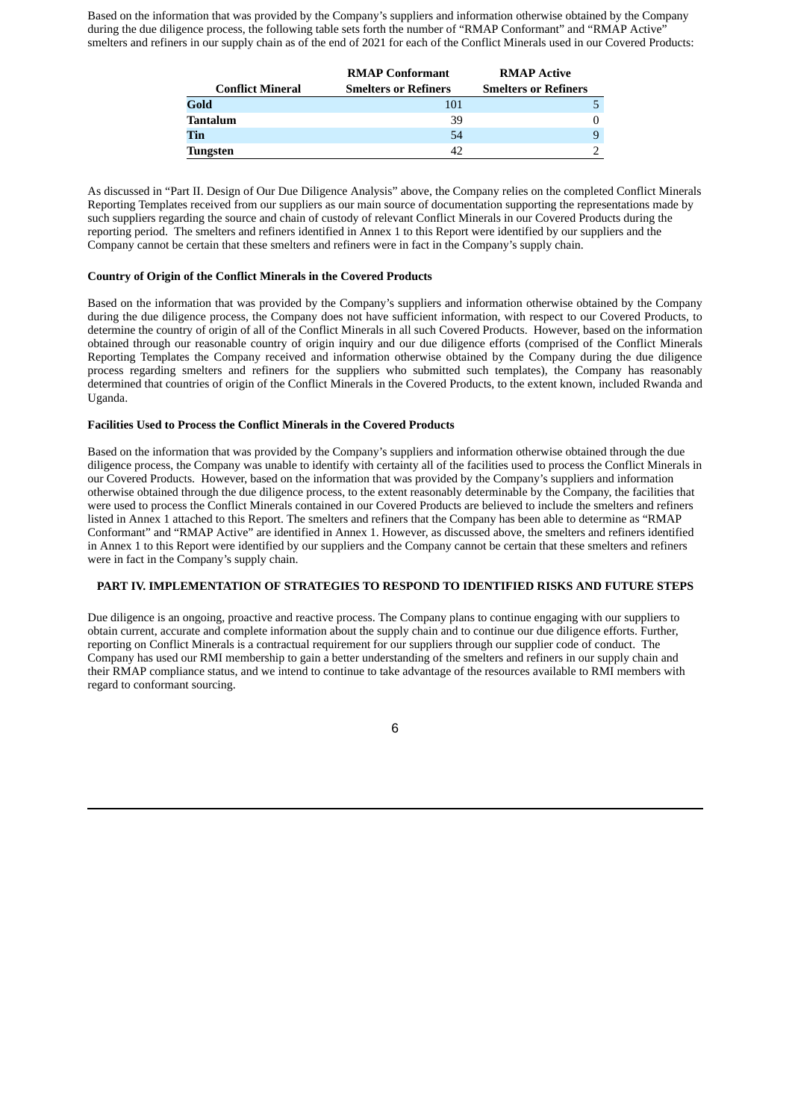Based on the information that was provided by the Company's suppliers and information otherwise obtained by the Company during the due diligence process, the following table sets forth the number of "RMAP Conformant" and "RMAP Active" smelters and refiners in our supply chain as of the end of 2021 for each of the Conflict Minerals used in our Covered Products:

|                         | <b>RMAP Conformant</b>      | <b>RMAP Active</b>          |
|-------------------------|-----------------------------|-----------------------------|
| <b>Conflict Mineral</b> | <b>Smelters or Refiners</b> | <b>Smelters or Refiners</b> |
| Gold                    | 101                         |                             |
| Tantalum                | 39                          |                             |
| Tin                     | 54                          |                             |
| Tungsten                | 42                          |                             |

As discussed in "Part II. Design of Our Due Diligence Analysis" above, the Company relies on the completed Conflict Minerals Reporting Templates received from our suppliers as our main source of documentation supporting the representations made by such suppliers regarding the source and chain of custody of relevant Conflict Minerals in our Covered Products during the reporting period. The smelters and refiners identified in Annex 1 to this Report were identified by our suppliers and the Company cannot be certain that these smelters and refiners were in fact in the Company's supply chain.

#### **Country of Origin of the Conflict Minerals in the Covered Products**

Based on the information that was provided by the Company's suppliers and information otherwise obtained by the Company during the due diligence process, the Company does not have sufficient information, with respect to our Covered Products, to determine the country of origin of all of the Conflict Minerals in all such Covered Products. However, based on the information obtained through our reasonable country of origin inquiry and our due diligence efforts (comprised of the Conflict Minerals Reporting Templates the Company received and information otherwise obtained by the Company during the due diligence process regarding smelters and refiners for the suppliers who submitted such templates), the Company has reasonably determined that countries of origin of the Conflict Minerals in the Covered Products, to the extent known, included Rwanda and Uganda.

#### **Facilities Used to Process the Conflict Minerals in the Covered Products**

Based on the information that was provided by the Company's suppliers and information otherwise obtained through the due diligence process, the Company was unable to identify with certainty all of the facilities used to process the Conflict Minerals in our Covered Products. However, based on the information that was provided by the Company's suppliers and information otherwise obtained through the due diligence process, to the extent reasonably determinable by the Company, the facilities that were used to process the Conflict Minerals contained in our Covered Products are believed to include the smelters and refiners listed in Annex 1 attached to this Report. The smelters and refiners that the Company has been able to determine as "RMAP Conformant" and "RMAP Active" are identified in Annex 1. However, as discussed above, the smelters and refiners identified in Annex 1 to this Report were identified by our suppliers and the Company cannot be certain that these smelters and refiners were in fact in the Company's supply chain.

#### **PART IV. IMPLEMENTATION OF STRATEGIES TO RESPOND TO IDENTIFIED RISKS AND FUTURE STEPS**

Due diligence is an ongoing, proactive and reactive process. The Company plans to continue engaging with our suppliers to obtain current, accurate and complete information about the supply chain and to continue our due diligence efforts. Further, reporting on Conflict Minerals is a contractual requirement for our suppliers through our supplier code of conduct. The Company has used our RMI membership to gain a better understanding of the smelters and refiners in our supply chain and their RMAP compliance status, and we intend to continue to take advantage of the resources available to RMI members with regard to conformant sourcing.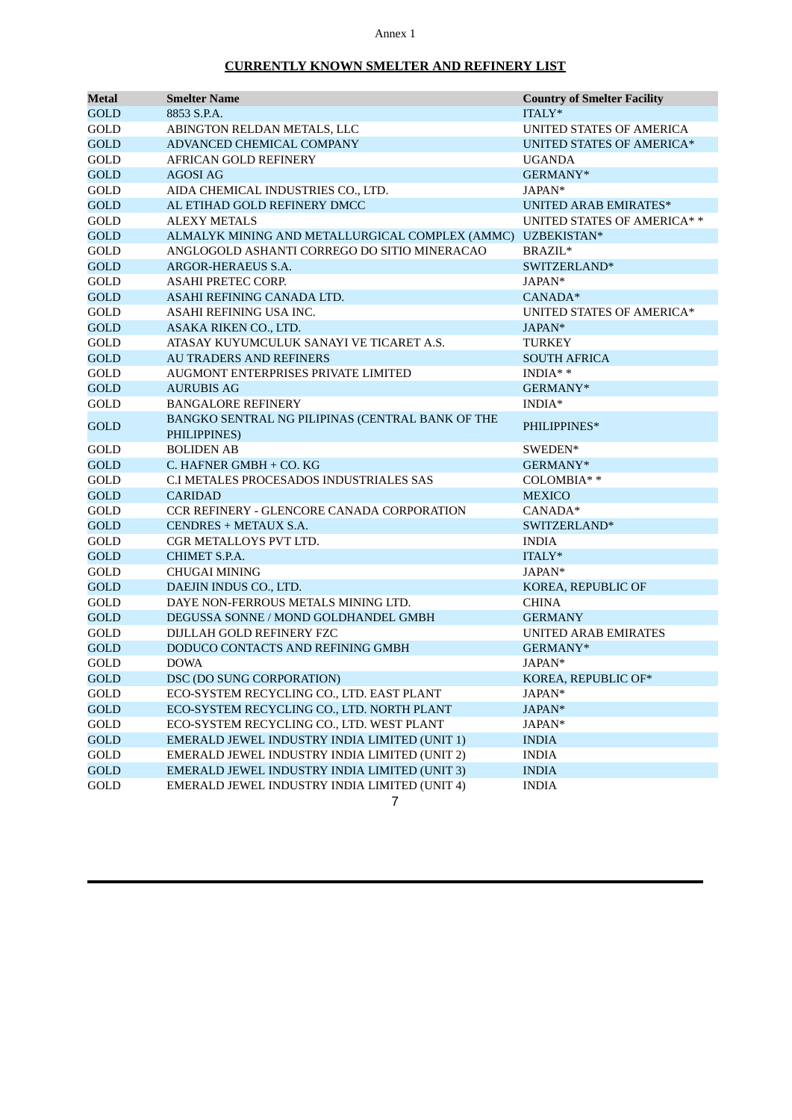## Annex 1

## **CURRENTLY KNOWN SMELTER AND REFINERY LIST**

| Metal       | <b>Smelter Name</b>                               | <b>Country of Smelter Facility</b> |
|-------------|---------------------------------------------------|------------------------------------|
| <b>GOLD</b> | 8853 S.P.A.                                       | ITALY*                             |
| GOLD        | ABINGTON RELDAN METALS, LLC                       | UNITED STATES OF AMERICA           |
| <b>GOLD</b> | ADVANCED CHEMICAL COMPANY                         | <b>UNITED STATES OF AMERICA*</b>   |
| GOLD        | <b>AFRICAN GOLD REFINERY</b>                      | <b>UGANDA</b>                      |
| <b>GOLD</b> | <b>AGOSI AG</b>                                   | GERMANY*                           |
| GOLD        | AIDA CHEMICAL INDUSTRIES CO., LTD.                | JAPAN*                             |
| <b>GOLD</b> | AL ETIHAD GOLD REFINERY DMCC                      | <b>UNITED ARAB EMIRATES*</b>       |
| GOLD        | <b>ALEXY METALS</b>                               | UNITED STATES OF AMERICA**         |
| <b>GOLD</b> | ALMALYK MINING AND METALLURGICAL COMPLEX (AMMC)   | UZBEKISTAN*                        |
| GOLD        | ANGLOGOLD ASHANTI CORREGO DO SITIO MINERACAO      | BRAZIL*                            |
| <b>GOLD</b> | ARGOR-HERAEUS S.A.                                | SWITZERLAND*                       |
| GOLD        | ASAHI PRETEC CORP.                                | JAPAN*                             |
| <b>GOLD</b> | ASAHI REFINING CANADA LTD.                        | CANADA*                            |
| GOLD        | ASAHI REFINING USA INC.                           | UNITED STATES OF AMERICA*          |
| <b>GOLD</b> | ASAKA RIKEN CO., LTD.                             | JAPAN*                             |
| GOLD        | ATASAY KUYUMCULUK SANAYI VE TICARET A.S.          | TURKEY                             |
| <b>GOLD</b> | <b>AU TRADERS AND REFINERS</b>                    | <b>SOUTH AFRICA</b>                |
| GOLD        | <b>AUGMONT ENTERPRISES PRIVATE LIMITED</b>        | $INDIA**$                          |
| <b>GOLD</b> | <b>AURUBIS AG</b>                                 | GERMANY*                           |
| GOLD        | <b>BANGALORE REFINERY</b>                         | $INDIA*$                           |
| <b>GOLD</b> | BANGKO SENTRAL NG PILIPINAS (CENTRAL BANK OF THE  | PHILIPPINES*                       |
|             | PHILIPPINES)                                      |                                    |
| GOLD        | <b>BOLIDEN AB</b>                                 | SWEDEN*                            |
| GOLD        | C. HAFNER GMBH + CO. KG                           | GERMANY*                           |
| GOLD        | C.I METALES PROCESADOS INDUSTRIALES SAS           | COLOMBIA**                         |
| GOLD        | <b>CARIDAD</b>                                    | <b>MEXICO</b>                      |
| GOLD        | <b>CCR REFINERY - GLENCORE CANADA CORPORATION</b> | CANADA*                            |
| <b>GOLD</b> | CENDRES + METAUX S.A.                             | SWITZERLAND*                       |
| GOLD        | CGR METALLOYS PVT LTD.                            | <b>INDIA</b>                       |
| <b>GOLD</b> | CHIMET S.P.A.                                     | ITALY*                             |
| GOLD        | <b>CHUGAI MINING</b>                              | JAPAN*                             |
| <b>GOLD</b> | DAEJIN INDUS CO., LTD.                            | KOREA, REPUBLIC OF                 |
| GOLD        | DAYE NON-FERROUS METALS MINING LTD.               | <b>CHINA</b>                       |
| GOLD        | DEGUSSA SONNE / MOND GOLDHANDEL GMBH              | <b>GERMANY</b>                     |
| GOLD        | DIJLLAH GOLD REFINERY FZC                         | <b>UNITED ARAB EMIRATES</b>        |
| GOLD        | DODUCO CONTACTS AND REFINING GMBH                 | GERMANY*                           |
| GOLD        | <b>DOWA</b>                                       | JAPAN*                             |
| <b>GOLD</b> | DSC (DO SUNG CORPORATION)                         | KOREA, REPUBLIC OF*                |
| GOLD        | ECO-SYSTEM RECYCLING CO., LTD. EAST PLANT         | JAPAN*                             |
| <b>GOLD</b> | ECO-SYSTEM RECYCLING CO., LTD. NORTH PLANT        | JAPAN*                             |
| GOLD        | ECO-SYSTEM RECYCLING CO., LTD. WEST PLANT         | JAPAN*                             |
| <b>GOLD</b> | EMERALD JEWEL INDUSTRY INDIA LIMITED (UNIT 1)     | <b>INDIA</b>                       |
| GOLD        | EMERALD JEWEL INDUSTRY INDIA LIMITED (UNIT 2)     | <b>INDIA</b>                       |
| <b>GOLD</b> | EMERALD JEWEL INDUSTRY INDIA LIMITED (UNIT 3)     | <b>INDIA</b>                       |
| GOLD        | EMERALD JEWEL INDUSTRY INDIA LIMITED (UNIT 4)     | <b>INDIA</b>                       |
|             | 7                                                 |                                    |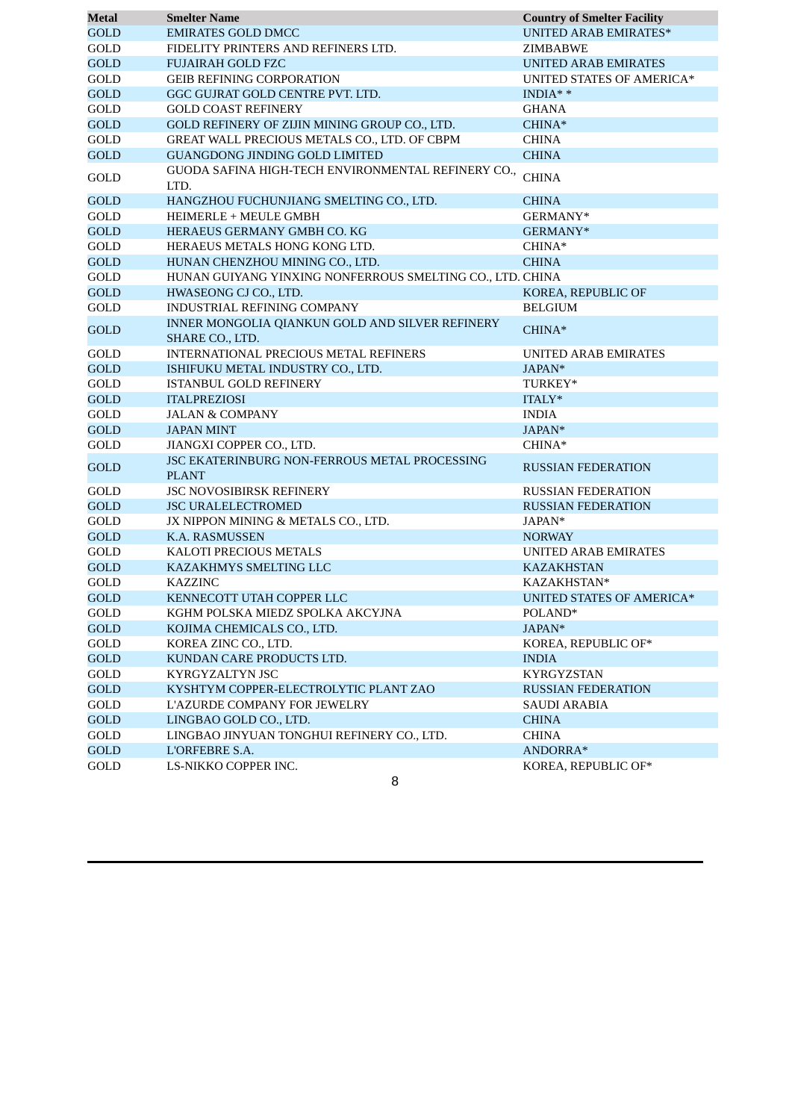| Metal       | <b>Smelter Name</b>                                                  | <b>Country of Smelter Facility</b> |
|-------------|----------------------------------------------------------------------|------------------------------------|
| <b>GOLD</b> | <b>EMIRATES GOLD DMCC</b>                                            | <b>UNITED ARAB EMIRATES*</b>       |
| GOLD        | FIDELITY PRINTERS AND REFINERS LTD.                                  | ZIMBABWE                           |
| <b>GOLD</b> | <b>FUJAIRAH GOLD FZC</b>                                             | <b>UNITED ARAB EMIRATES</b>        |
| GOLD        | <b>GEIB REFINING CORPORATION</b>                                     | UNITED STATES OF AMERICA*          |
| <b>GOLD</b> | GGC GUJRAT GOLD CENTRE PVT. LTD.                                     | $INDIA**$                          |
| GOLD        | <b>GOLD COAST REFINERY</b>                                           | GHANA                              |
| <b>GOLD</b> | GOLD REFINERY OF ZIJIN MINING GROUP CO., LTD.                        | CHINA*                             |
| GOLD        | GREAT WALL PRECIOUS METALS CO., LTD. OF CBPM                         | <b>CHINA</b>                       |
| <b>GOLD</b> | <b>GUANGDONG JINDING GOLD LIMITED</b>                                | <b>CHINA</b>                       |
| GOLD        | GUODA SAFINA HIGH-TECH ENVIRONMENTAL REFINERY CO.,<br>LTD.           | CHINA                              |
| <b>GOLD</b> | HANGZHOU FUCHUNJIANG SMELTING CO., LTD.                              | <b>CHINA</b>                       |
| GOLD        | <b>HEIMERLE + MEULE GMBH</b>                                         | GERMANY*                           |
| <b>GOLD</b> | HERAEUS GERMANY GMBH CO. KG                                          | GERMANY*                           |
| GOLD        | HERAEUS METALS HONG KONG LTD.                                        | CHINA*                             |
| <b>GOLD</b> | HUNAN CHENZHOU MINING CO., LTD.                                      | <b>CHINA</b>                       |
| GOLD        | HUNAN GUIYANG YINXING NONFERROUS SMELTING CO., LTD. CHINA            |                                    |
| <b>GOLD</b> | HWASEONG CJ CO., LTD.                                                | KOREA, REPUBLIC OF                 |
| GOLD        | <b>INDUSTRIAL REFINING COMPANY</b>                                   | <b>BELGIUM</b>                     |
| <b>GOLD</b> | INNER MONGOLIA QIANKUN GOLD AND SILVER REFINERY<br>SHARE CO., LTD.   | CHINA*                             |
| GOLD        | INTERNATIONAL PRECIOUS METAL REFINERS                                | <b>UNITED ARAB EMIRATES</b>        |
| <b>GOLD</b> | ISHIFUKU METAL INDUSTRY CO., LTD.                                    | JAPAN*                             |
| GOLD        | <b>ISTANBUL GOLD REFINERY</b>                                        | TURKEY*                            |
| <b>GOLD</b> | <b>ITALPREZIOSI</b>                                                  | ITALY*                             |
| GOLD        | <b>JALAN &amp; COMPANY</b>                                           | <b>INDIA</b>                       |
| <b>GOLD</b> | <b>JAPAN MINT</b>                                                    | JAPAN*                             |
| GOLD        | JIANGXI COPPER CO., LTD.                                             | $CHINA*$                           |
| <b>GOLD</b> | <b>JSC EKATERINBURG NON-FERROUS METAL PROCESSING</b><br><b>PLANT</b> | <b>RUSSIAN FEDERATION</b>          |
| GOLD        | <b>JSC NOVOSIBIRSK REFINERY</b>                                      | <b>RUSSIAN FEDERATION</b>          |
| <b>GOLD</b> | <b>JSC URALELECTROMED</b>                                            | <b>RUSSIAN FEDERATION</b>          |
| GOLD        | JX NIPPON MINING & METALS CO., LTD.                                  | JAPAN*                             |
| GOLD        | K.A. RASMUSSEN                                                       | <b>NORWAY</b>                      |
| GOLD        | KALOTI PRECIOUS METALS                                               | UNITED ARAB EMIRATES               |
| <b>GOLD</b> | KAZAKHMYS SMELTING LLC                                               | <b>KAZAKHSTAN</b>                  |
| GOLD        | <b>KAZZINC</b>                                                       | KAZAKHSTAN*                        |
| <b>GOLD</b> | KENNECOTT UTAH COPPER LLC                                            | UNITED STATES OF AMERICA*          |
| GOLD        | KGHM POLSKA MIEDZ SPOLKA AKCYJNA                                     | POLAND*                            |
| <b>GOLD</b> | KOJIMA CHEMICALS CO., LTD.                                           | JAPAN*                             |
| GOLD        | KOREA ZINC CO., LTD.                                                 | KOREA, REPUBLIC OF*                |
| <b>GOLD</b> | KUNDAN CARE PRODUCTS LTD.                                            | <b>INDIA</b>                       |
| GOLD        | KYRGYZALTYN JSC                                                      | <b>KYRGYZSTAN</b>                  |
| GOLD        | KYSHTYM COPPER-ELECTROLYTIC PLANT ZAO                                | <b>RUSSIAN FEDERATION</b>          |
| GOLD        | L'AZURDE COMPANY FOR JEWELRY                                         | <b>SAUDI ARABIA</b>                |
| <b>GOLD</b> | LINGBAO GOLD CO., LTD.                                               | <b>CHINA</b>                       |
| GOLD        | LINGBAO JINYUAN TONGHUI REFINERY CO., LTD.                           | <b>CHINA</b>                       |
| <b>GOLD</b> | L'ORFEBRE S.A.                                                       | ANDORRA*                           |
| GOLD        | LS-NIKKO COPPER INC.                                                 | KOREA, REPUBLIC OF*                |
|             | 8                                                                    |                                    |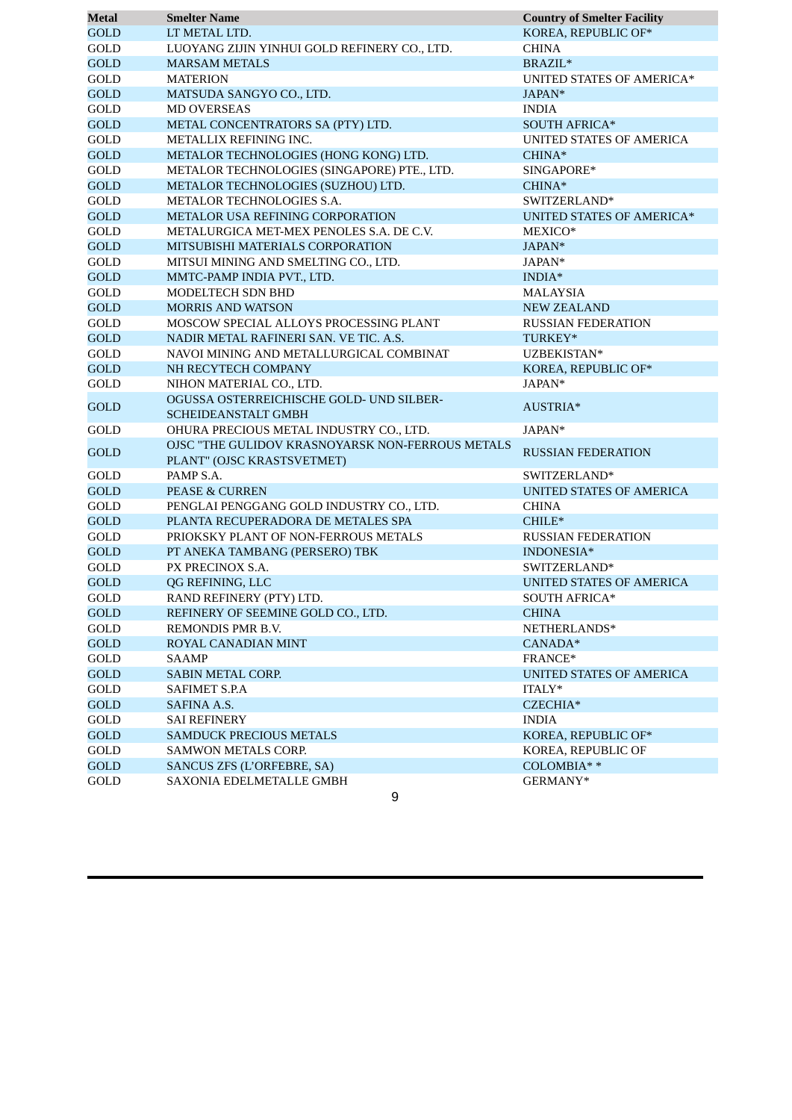| <b>Metal</b> | <b>Smelter Name</b>                              | <b>Country of Smelter Facility</b> |
|--------------|--------------------------------------------------|------------------------------------|
| <b>GOLD</b>  | LT METAL LTD.                                    | KOREA, REPUBLIC OF*                |
| GOLD         | LUOYANG ZIJIN YINHUI GOLD REFINERY CO., LTD.     | <b>CHINA</b>                       |
| <b>GOLD</b>  | <b>MARSAM METALS</b>                             | BRAZIL*                            |
| GOLD         | <b>MATERION</b>                                  | UNITED STATES OF AMERICA*          |
| <b>GOLD</b>  | MATSUDA SANGYO CO., LTD.                         | JAPAN*                             |
| GOLD         | <b>MD OVERSEAS</b>                               | <b>INDIA</b>                       |
| <b>GOLD</b>  | METAL CONCENTRATORS SA (PTY) LTD.                | <b>SOUTH AFRICA*</b>               |
| GOLD         | METALLIX REFINING INC.                           | UNITED STATES OF AMERICA           |
| <b>GOLD</b>  | METALOR TECHNOLOGIES (HONG KONG) LTD.            | CHINA*                             |
| GOLD         | METALOR TECHNOLOGIES (SINGAPORE) PTE., LTD.      | SINGAPORE*                         |
| <b>GOLD</b>  | METALOR TECHNOLOGIES (SUZHOU) LTD.               | $CHINA*$                           |
| GOLD         | METALOR TECHNOLOGIES S.A.                        | SWITZERLAND*                       |
| <b>GOLD</b>  | METALOR USA REFINING CORPORATION                 | <b>UNITED STATES OF AMERICA*</b>   |
| GOLD         | METALURGICA MET-MEX PENOLES S.A. DE C.V.         | MEXICO*                            |
| <b>GOLD</b>  | MITSUBISHI MATERIALS CORPORATION                 | JAPAN*                             |
| GOLD         | MITSUI MINING AND SMELTING CO., LTD.             | JAPAN*                             |
| <b>GOLD</b>  | MMTC-PAMP INDIA PVT., LTD.                       | $INDIA*$                           |
| GOLD         | <b>MODELTECH SDN BHD</b>                         | MALAYSIA                           |
| <b>GOLD</b>  | <b>MORRIS AND WATSON</b>                         | <b>NEW ZEALAND</b>                 |
| GOLD         | MOSCOW SPECIAL ALLOYS PROCESSING PLANT           | <b>RUSSIAN FEDERATION</b>          |
| <b>GOLD</b>  | NADIR METAL RAFINERI SAN. VE TIC. A.S.           | TURKEY*                            |
| GOLD         | NAVOI MINING AND METALLURGICAL COMBINAT          | UZBEKISTAN*                        |
| <b>GOLD</b>  | NH RECYTECH COMPANY                              | KOREA, REPUBLIC OF*                |
| GOLD         | NIHON MATERIAL CO., LTD.                         | JAPAN*                             |
|              | OGUSSA OSTERREICHISCHE GOLD- UND SILBER-         |                                    |
| <b>GOLD</b>  | <b>SCHEIDEANSTALT GMBH</b>                       | AUSTRIA*                           |
| GOLD         | OHURA PRECIOUS METAL INDUSTRY CO., LTD.          | JAPAN*                             |
|              | OJSC "THE GULIDOV KRASNOYARSK NON-FERROUS METALS |                                    |
| <b>GOLD</b>  | PLANT" (OJSC KRASTSVETMET)                       | <b>RUSSIAN FEDERATION</b>          |
| GOLD         | PAMP S.A.                                        | SWITZERLAND*                       |
| <b>GOLD</b>  | <b>PEASE &amp; CURREN</b>                        | <b>UNITED STATES OF AMERICA</b>    |
| GOLD         | PENGLAI PENGGANG GOLD INDUSTRY CO., LTD.         | <b>CHINA</b>                       |
| <b>GOLD</b>  | PLANTA RECUPERADORA DE METALES SPA               | CHILE*                             |
| GOLD         | PRIOKSKY PLANT OF NON-FERROUS METALS             | <b>RUSSIAN FEDERATION</b>          |
| <b>GOLD</b>  | PT ANEKA TAMBANG (PERSERO) TBK                   | INDONESIA*                         |
| GOLD         | PX PRECINOX S.A.                                 | SWITZERLAND*                       |
| <b>GOLD</b>  | QG REFINING, LLC                                 | <b>UNITED STATES OF AMERICA</b>    |
| GOLD         | RAND REFINERY (PTY) LTD.                         | <b>SOUTH AFRICA*</b>               |
| <b>GOLD</b>  | REFINERY OF SEEMINE GOLD CO., LTD.               | <b>CHINA</b>                       |
| GOLD         | REMONDIS PMR B.V.                                | NETHERLANDS*                       |
| GOLD         | ROYAL CANADIAN MINT                              | CANADA*                            |
| GOLD         | SAAMP                                            | FRANCE*                            |
| GOLD         | SABIN METAL CORP.                                | UNITED STATES OF AMERICA           |
| GOLD         | SAFIMET S.P.A                                    | ITALY*                             |
| GOLD         | SAFINA A.S.                                      | CZECHIA*                           |
| GOLD         | <b>SAI REFINERY</b>                              | <b>INDIA</b>                       |
| GOLD         | SAMDUCK PRECIOUS METALS                          | KOREA, REPUBLIC OF*                |
| GOLD         | <b>SAMWON METALS CORP.</b>                       | KOREA, REPUBLIC OF                 |
| GOLD         | SANCUS ZFS (L'ORFEBRE, SA)                       | COLOMBIA**                         |
| GOLD         | SAXONIA EDELMETALLE GMBH                         | GERMANY*                           |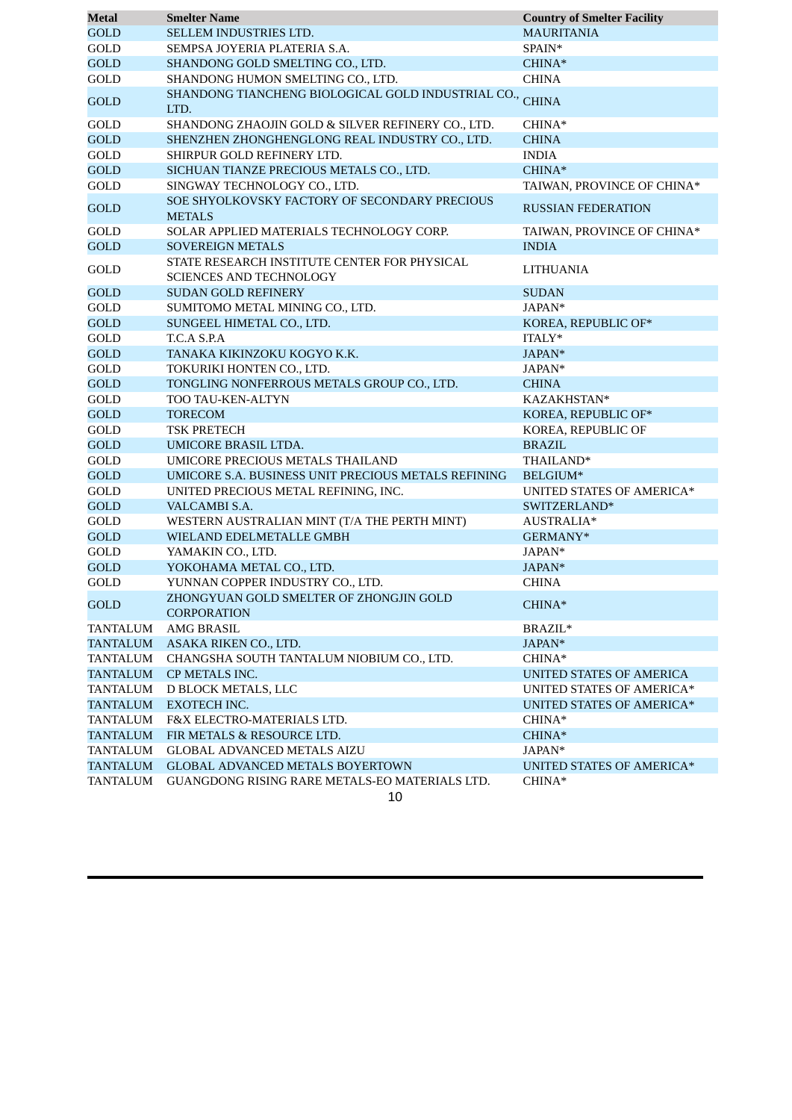| <b>Metal</b>    | <b>Smelter Name</b>                                                            | <b>Country of Smelter Facility</b> |
|-----------------|--------------------------------------------------------------------------------|------------------------------------|
| <b>GOLD</b>     | SELLEM INDUSTRIES LTD.                                                         | <b>MAURITANIA</b>                  |
| GOLD            | SEMPSA JOYERIA PLATERIA S.A.                                                   | SPAIN*                             |
| <b>GOLD</b>     | SHANDONG GOLD SMELTING CO., LTD.                                               | CHINA*                             |
| GOLD            | SHANDONG HUMON SMELTING CO., LTD.                                              | <b>CHINA</b>                       |
| <b>GOLD</b>     | SHANDONG TIANCHENG BIOLOGICAL GOLD INDUSTRIAL CO.,<br>LTD.                     | <b>CHINA</b>                       |
| GOLD            | SHANDONG ZHAOJIN GOLD & SILVER REFINERY CO., LTD.                              | CHINA*                             |
| <b>GOLD</b>     | SHENZHEN ZHONGHENGLONG REAL INDUSTRY CO., LTD.                                 | <b>CHINA</b>                       |
| GOLD            | SHIRPUR GOLD REFINERY LTD.                                                     | <b>INDIA</b>                       |
| <b>GOLD</b>     | SICHUAN TIANZE PRECIOUS METALS CO., LTD.                                       | CHINA*                             |
| GOLD            | SINGWAY TECHNOLOGY CO., LTD.                                                   | TAIWAN, PROVINCE OF CHINA*         |
| <b>GOLD</b>     | SOE SHYOLKOVSKY FACTORY OF SECONDARY PRECIOUS<br><b>METALS</b>                 | <b>RUSSIAN FEDERATION</b>          |
| GOLD            | SOLAR APPLIED MATERIALS TECHNOLOGY CORP.                                       | TAIWAN, PROVINCE OF CHINA*         |
| <b>GOLD</b>     | <b>SOVEREIGN METALS</b>                                                        | <b>INDIA</b>                       |
| GOLD            | STATE RESEARCH INSTITUTE CENTER FOR PHYSICAL<br><b>SCIENCES AND TECHNOLOGY</b> | <b>LITHUANIA</b>                   |
| <b>GOLD</b>     | <b>SUDAN GOLD REFINERY</b>                                                     | <b>SUDAN</b>                       |
| GOLD            | SUMITOMO METAL MINING CO., LTD.                                                | JAPAN*                             |
| <b>GOLD</b>     | SUNGEEL HIMETAL CO., LTD.                                                      | KOREA, REPUBLIC OF*                |
| GOLD            | T.C.A S.P.A                                                                    | ITALY*                             |
| <b>GOLD</b>     | TANAKA KIKINZOKU KOGYO K.K.                                                    | JAPAN*                             |
| GOLD            | TOKURIKI HONTEN CO., LTD.                                                      | JAPAN*                             |
| <b>GOLD</b>     | TONGLING NONFERROUS METALS GROUP CO., LTD.                                     | <b>CHINA</b>                       |
| GOLD            | TOO TAU-KEN-ALTYN                                                              | KAZAKHSTAN*                        |
| <b>GOLD</b>     | <b>TORECOM</b>                                                                 | KOREA, REPUBLIC OF*                |
| GOLD            | TSK PRETECH                                                                    | KOREA, REPUBLIC OF                 |
| <b>GOLD</b>     | UMICORE BRASIL LTDA.                                                           | <b>BRAZIL</b>                      |
| GOLD            | UMICORE PRECIOUS METALS THAILAND                                               | THAILAND*                          |
| <b>GOLD</b>     | UMICORE S.A. BUSINESS UNIT PRECIOUS METALS REFINING                            | BELGIUM*                           |
| GOLD            | UNITED PRECIOUS METAL REFINING, INC.                                           | UNITED STATES OF AMERICA*          |
| <b>GOLD</b>     | VALCAMBI S.A.                                                                  | SWITZERLAND*                       |
| GOLD            | WESTERN AUSTRALIAN MINT (T/A THE PERTH MINT)                                   | AUSTRALIA*                         |
| <b>GOLD</b>     | WIELAND EDELMETALLE GMBH                                                       | GERMANY*                           |
| GOLD            | YAMAKIN CO., LTD.                                                              | JAPAN*                             |
| <b>GOLD</b>     | YOKOHAMA METAL CO., LTD.                                                       | JAPAN*                             |
| GOLD            | YUNNAN COPPER INDUSTRY CO., LTD.                                               | <b>CHINA</b>                       |
| <b>GOLD</b>     | ZHONGYUAN GOLD SMELTER OF ZHONGJIN GOLD<br><b>CORPORATION</b>                  | $CHINA*$                           |
| <b>TANTALUM</b> | <b>AMG BRASIL</b>                                                              | BRAZIL*                            |
| TANTALUM        | ASAKA RIKEN CO., LTD.                                                          | JAPAN*                             |
| TANTALUM        | CHANGSHA SOUTH TANTALUM NIOBIUM CO., LTD.                                      | CHINA*                             |
| TANTALUM        | CP METALS INC.                                                                 | <b>UNITED STATES OF AMERICA</b>    |
| TANTALUM        | D BLOCK METALS, LLC                                                            | UNITED STATES OF AMERICA*          |
| <b>TANTALUM</b> | EXOTECH INC.                                                                   | UNITED STATES OF AMERICA*          |
| <b>TANTALUM</b> | F&X ELECTRO-MATERIALS LTD.                                                     | CHINA*                             |
| <b>TANTALUM</b> | FIR METALS & RESOURCE LTD.                                                     | CHINA*                             |
| TANTALUM        | <b>GLOBAL ADVANCED METALS AIZU</b>                                             | JAPAN*                             |
| TANTALUM        | <b>GLOBAL ADVANCED METALS BOYERTOWN</b>                                        | UNITED STATES OF AMERICA*          |
| TANTALUM        | GUANGDONG RISING RARE METALS-EO MATERIALS LTD.                                 | CHINA*                             |
|                 | 10                                                                             |                                    |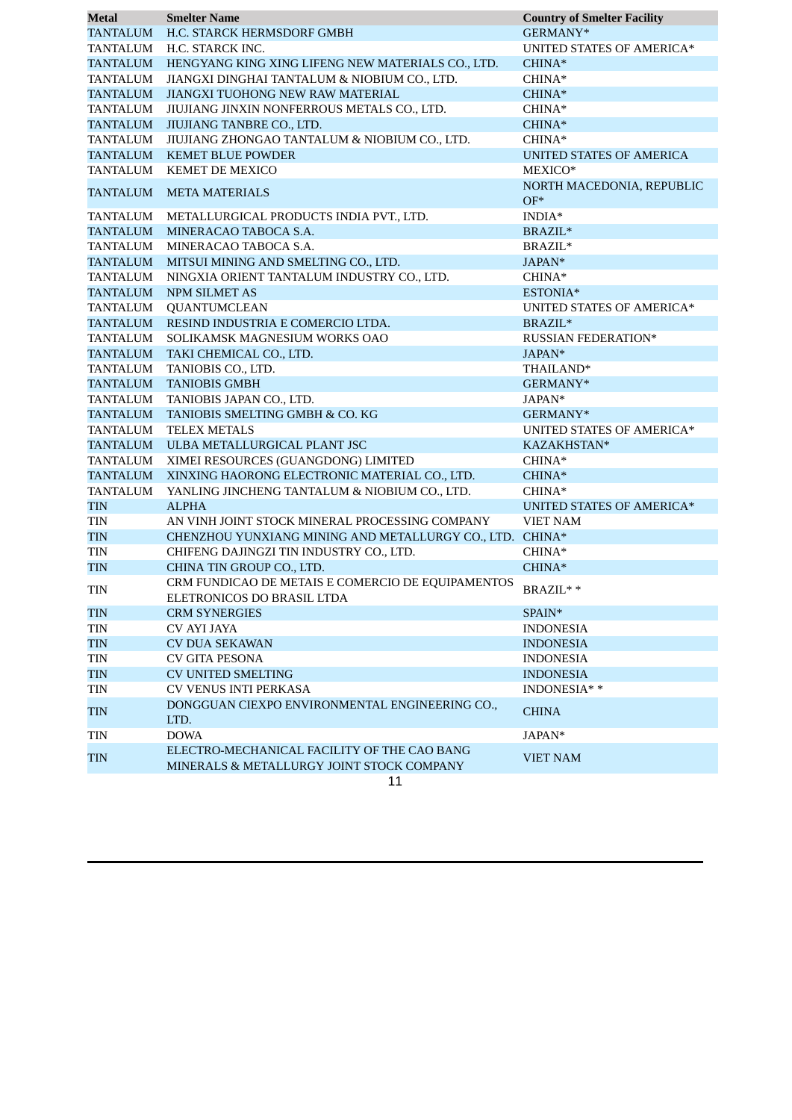| Metal           | <b>Smelter Name</b>                               | <b>Country of Smelter Facility</b> |
|-----------------|---------------------------------------------------|------------------------------------|
| <b>TANTALUM</b> | H.C. STARCK HERMSDORF GMBH                        | GERMANY*                           |
| <b>TANTALUM</b> | H.C. STARCK INC.                                  | UNITED STATES OF AMERICA*          |
| <b>TANTALUM</b> | HENGYANG KING XING LIFENG NEW MATERIALS CO., LTD. | CHINA*                             |
| <b>TANTALUM</b> | JIANGXI DINGHAI TANTALUM & NIOBIUM CO., LTD.      | CHINA*                             |
| <b>TANTALUM</b> | JIANGXI TUOHONG NEW RAW MATERIAL                  | CHINA*                             |
| <b>TANTALUM</b> | JIUJIANG JINXIN NONFERROUS METALS CO., LTD.       | CHINA*                             |
| <b>TANTALUM</b> | JIUJIANG TANBRE CO., LTD.                         | $CHINA*$                           |
| <b>TANTALUM</b> | JIUJIANG ZHONGAO TANTALUM & NIOBIUM CO., LTD.     | CHINA*                             |
| <b>TANTALUM</b> | <b>KEMET BLUE POWDER</b>                          | UNITED STATES OF AMERICA           |
| <b>TANTALUM</b> | KEMET DE MEXICO                                   | MEXICO*                            |
| <b>TANTALUM</b> | <b>META MATERIALS</b>                             | NORTH MACEDONIA, REPUBLIC          |
|                 |                                                   | $OF*$                              |
| <b>TANTALUM</b> | METALLURGICAL PRODUCTS INDIA PVT., LTD.           | $\text{INDIA}^*$                   |
| <b>TANTALUM</b> | MINERACAO TABOCA S.A.                             | $\text{BRAZIL}^*$                  |
| <b>TANTALUM</b> | MINERACAO TABOCA S.A.                             | BRAZIL*                            |
| <b>TANTALUM</b> | MITSUI MINING AND SMELTING CO., LTD.              | JAPAN*                             |
| <b>TANTALUM</b> | NINGXIA ORIENT TANTALUM INDUSTRY CO., LTD.        | CHINA*                             |
| <b>TANTALUM</b> | <b>NPM SILMET AS</b>                              | ESTONIA*                           |
| <b>TANTALUM</b> | <b>QUANTUMCLEAN</b>                               | UNITED STATES OF AMERICA*          |
| <b>TANTALUM</b> | RESIND INDUSTRIA E COMERCIO LTDA.                 | BRAZIL*                            |
| <b>TANTALUM</b> | SOLIKAMSK MAGNESIUM WORKS OAO                     | RUSSIAN FEDERATION*                |
| <b>TANTALUM</b> | TAKI CHEMICAL CO., LTD.                           | JAPAN*                             |
| <b>TANTALUM</b> | TANIOBIS CO., LTD.                                | THAILAND*                          |
| <b>TANTALUM</b> | <b>TANIOBIS GMBH</b>                              | GERMANY*                           |
| <b>TANTALUM</b> | TANIOBIS JAPAN CO., LTD.                          | JAPAN*                             |
| <b>TANTALUM</b> | TANIOBIS SMELTING GMBH & CO. KG                   | GERMANY*                           |
| TANTALUM        | <b>TELEX METALS</b>                               | UNITED STATES OF AMERICA*          |
| <b>TANTALUM</b> | ULBA METALLURGICAL PLANT JSC                      | KAZAKHSTAN*                        |
| <b>TANTALUM</b> | XIMEI RESOURCES (GUANGDONG) LIMITED               | CHINA*                             |
| <b>TANTALUM</b> | XINXING HAORONG ELECTRONIC MATERIAL CO., LTD.     | $CHINA*$                           |
| <b>TANTALUM</b> | YANLING JINCHENG TANTALUM & NIOBIUM CO., LTD.     | CHINA*                             |
| <b>TIN</b>      | <b>ALPHA</b>                                      | <b>UNITED STATES OF AMERICA*</b>   |
| <b>TIN</b>      | AN VINH JOINT STOCK MINERAL PROCESSING COMPANY    | <b>VIET NAM</b>                    |
| <b>TIN</b>      | CHENZHOU YUNXIANG MINING AND METALLURGY CO., LTD. | CHINA*                             |
| <b>TIN</b>      | CHIFENG DAJINGZI TIN INDUSTRY CO., LTD.           | CHINA*                             |
| <b>TIN</b>      | CHINA TIN GROUP CO., LTD.                         | CHINA*                             |
|                 | CRM FUNDICAO DE METAIS E COMERCIO DE EQUIPAMENTOS | BRAZIL**                           |
| <b>TIN</b>      | ELETRONICOS DO BRASIL LTDA                        |                                    |
| <b>TIN</b>      | <b>CRM SYNERGIES</b>                              | SPAIN*                             |
| TIN             | <b>CV AYI JAYA</b>                                | <b>INDONESIA</b>                   |
| <b>TIN</b>      | <b>CV DUA SEKAWAN</b>                             | <b>INDONESIA</b>                   |
| TIN             | <b>CV GITA PESONA</b>                             | <b>INDONESIA</b>                   |
| <b>TIN</b>      | <b>CV UNITED SMELTING</b>                         | <b>INDONESIA</b>                   |
| TIN             | <b>CV VENUS INTI PERKASA</b>                      | INDONESIA**                        |
|                 | DONGGUAN CIEXPO ENVIRONMENTAL ENGINEERING CO.,    |                                    |
| <b>TIN</b>      | LTD.                                              | <b>CHINA</b>                       |
| <b>TIN</b>      | <b>DOWA</b>                                       | JAPAN*                             |
| <b>TIN</b>      | ELECTRO-MECHANICAL FACILITY OF THE CAO BANG       | <b>VIET NAM</b>                    |
|                 | MINERALS & METALLURGY JOINT STOCK COMPANY         |                                    |
|                 | 11                                                |                                    |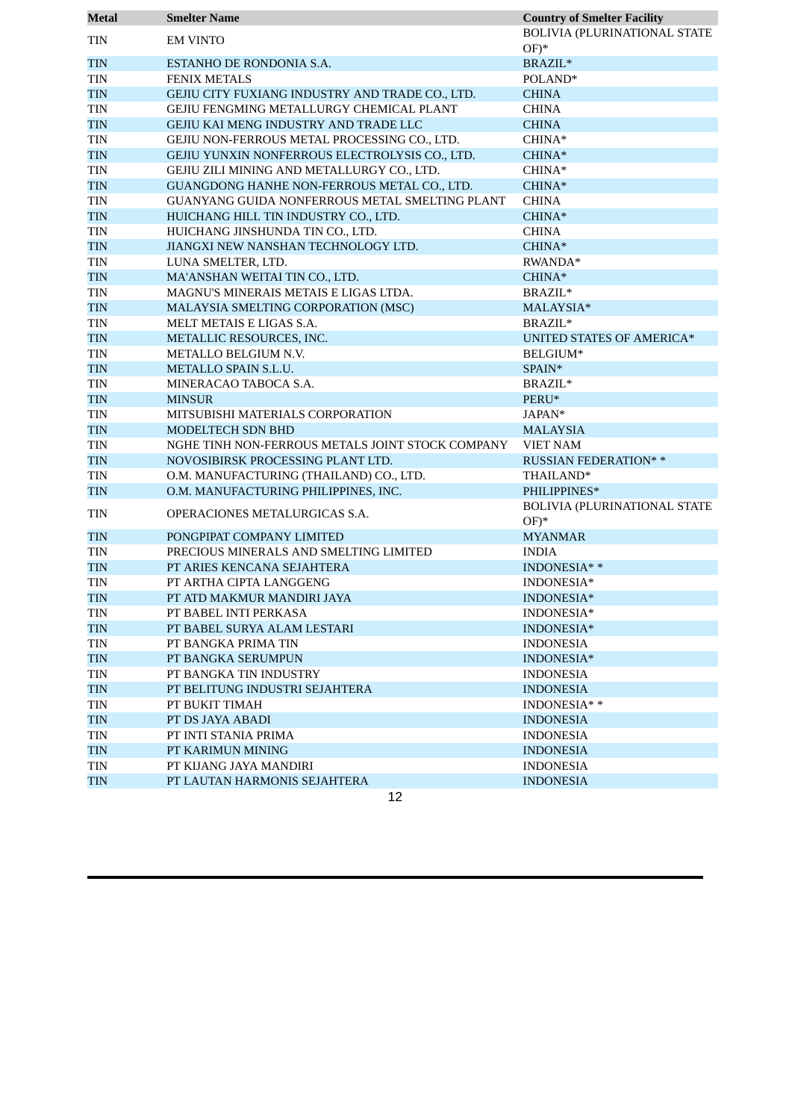| <b>Metal</b> | <b>Smelter Name</b>                              | <b>Country of Smelter Facility</b>      |
|--------------|--------------------------------------------------|-----------------------------------------|
| <b>TIN</b>   | <b>EM VINTO</b>                                  | BOLIVIA (PLURINATIONAL STATE<br>$OF)^*$ |
| <b>TIN</b>   | ESTANHO DE RONDONIA S.A.                         | BRAZIL*                                 |
| TIN          | <b>FENIX METALS</b>                              | POLAND*                                 |
| <b>TIN</b>   | GEJIU CITY FUXIANG INDUSTRY AND TRADE CO., LTD.  | <b>CHINA</b>                            |
| <b>TIN</b>   | GEJIU FENGMING METALLURGY CHEMICAL PLANT         | <b>CHINA</b>                            |
| <b>TIN</b>   | GEJIU KAI MENG INDUSTRY AND TRADE LLC            | <b>CHINA</b>                            |
| TIN          | GEJIU NON-FERROUS METAL PROCESSING CO., LTD.     | CHINA*                                  |
| <b>TIN</b>   | GEJIU YUNXIN NONFERROUS ELECTROLYSIS CO., LTD.   | CHINA*                                  |
| TIN          | GEJIU ZILI MINING AND METALLURGY CO., LTD.       | $CHINA*$                                |
| <b>TIN</b>   | GUANGDONG HANHE NON-FERROUS METAL CO., LTD.      | CHINA*                                  |
| TIN          | GUANYANG GUIDA NONFERROUS METAL SMELTING PLANT   | <b>CHINA</b>                            |
| <b>TIN</b>   | HUICHANG HILL TIN INDUSTRY CO., LTD.             | CHINA*                                  |
| TIN          | HUICHANG JINSHUNDA TIN CO., LTD.                 | <b>CHINA</b>                            |
| <b>TIN</b>   | JIANGXI NEW NANSHAN TECHNOLOGY LTD.              | CHINA*                                  |
| TIN          | LUNA SMELTER, LTD.                               | RWANDA*                                 |
| <b>TIN</b>   | MA'ANSHAN WEITAI TIN CO., LTD.                   | CHINA*                                  |
| TIN          | MAGNU'S MINERAIS METAIS E LIGAS LTDA.            | BRAZIL*                                 |
| <b>TIN</b>   | MALAYSIA SMELTING CORPORATION (MSC)              | MALAYSIA*                               |
| TIN          | MELT METAIS E LIGAS S.A.                         | BRAZIL*                                 |
| <b>TIN</b>   | METALLIC RESOURCES, INC.                         | <b>UNITED STATES OF AMERICA*</b>        |
| TIN          | METALLO BELGIUM N.V.                             | BELGIUM*                                |
| <b>TIN</b>   | METALLO SPAIN S.L.U.                             | SPAIN*                                  |
| TIN          | MINERACAO TABOCA S.A.                            | BRAZIL*                                 |
| <b>TIN</b>   | <b>MINSUR</b>                                    | PERU*                                   |
| TIN          | MITSUBISHI MATERIALS CORPORATION                 | JAPAN*                                  |
| <b>TIN</b>   | MODELTECH SDN BHD                                | <b>MALAYSIA</b>                         |
| TIN          | NGHE TINH NON-FERROUS METALS JOINT STOCK COMPANY | <b>VIET NAM</b>                         |
| <b>TIN</b>   | NOVOSIBIRSK PROCESSING PLANT LTD.                | <b>RUSSIAN FEDERATION**</b>             |
| TIN          | O.M. MANUFACTURING (THAILAND) CO., LTD.          | THAILAND*                               |
| <b>TIN</b>   | O.M. MANUFACTURING PHILIPPINES, INC.             | PHILIPPINES*                            |
| <b>TIN</b>   | OPERACIONES METALURGICAS S.A.                    | BOLIVIA (PLURINATIONAL STATE<br>$OF)^*$ |
| <b>TIN</b>   | PONGPIPAT COMPANY LIMITED                        | <b>MYANMAR</b>                          |
| TIN          | PRECIOUS MINERALS AND SMELTING LIMITED           | <b>INDIA</b>                            |
| <b>TIN</b>   | PT ARIES KENCANA SEJAHTERA                       | INDONESIA**                             |
| <b>TIN</b>   | PT ARTHA CIPTA LANGGENG                          | INDONESIA*                              |
| <b>TIN</b>   | PT ATD MAKMUR MANDIRI JAYA                       | INDONESIA*                              |
| TIN          | PT BABEL INTI PERKASA                            | INDONESIA*                              |
| <b>TIN</b>   | PT BABEL SURYA ALAM LESTARI                      | INDONESIA*                              |
| TIN          | PT BANGKA PRIMA TIN                              | <b>INDONESIA</b>                        |
| <b>TIN</b>   | PT BANGKA SERUMPUN                               | INDONESIA*                              |
| TIN          | PT BANGKA TIN INDUSTRY                           | <b>INDONESIA</b>                        |
| <b>TIN</b>   | PT BELITUNG INDUSTRI SEJAHTERA                   | <b>INDONESIA</b>                        |
| TIN          | PT BUKIT TIMAH                                   | INDONESIA**                             |
| <b>TIN</b>   | PT DS JAYA ABADI                                 | <b>INDONESIA</b>                        |
| TIN          | PT INTI STANIA PRIMA                             | <b>INDONESIA</b>                        |
| TIN          | PT KARIMUN MINING                                | <b>INDONESIA</b>                        |
| TIN          | PT KIJANG JAYA MANDIRI                           | <b>INDONESIA</b>                        |
| <b>TIN</b>   | PT LAUTAN HARMONIS SEJAHTERA                     | <b>INDONESIA</b>                        |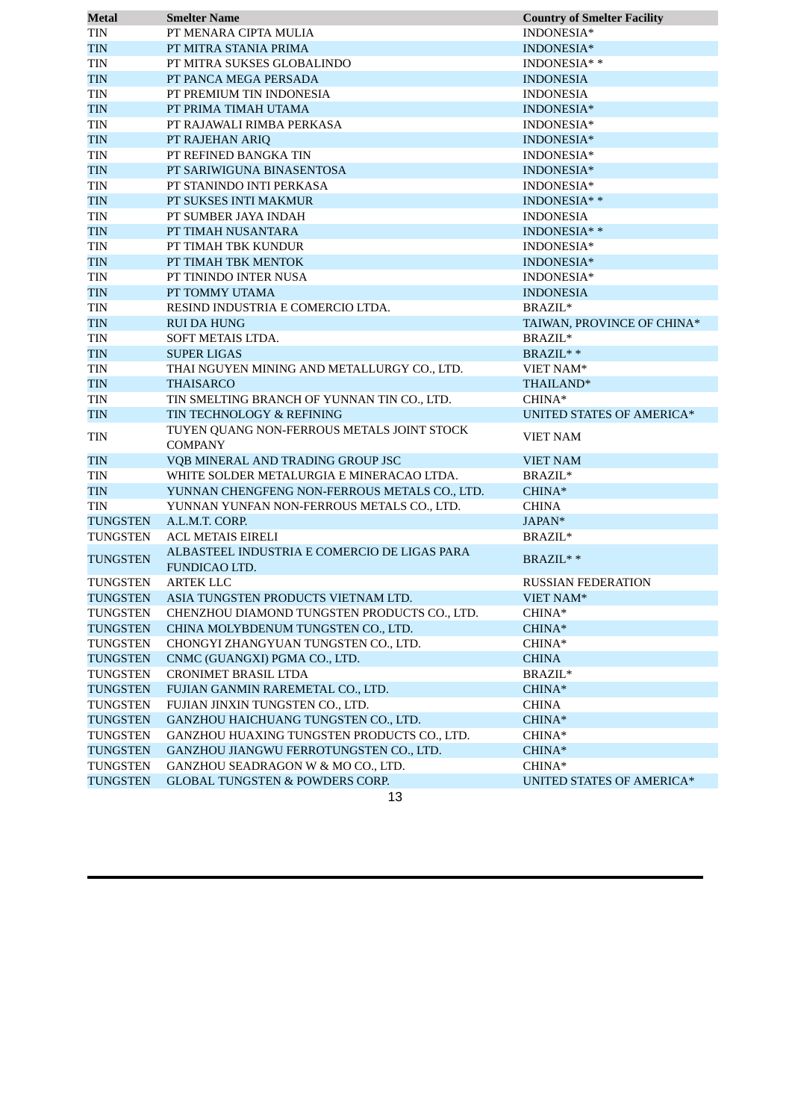| Metal           | <b>Smelter Name</b>                           | <b>Country of Smelter Facility</b> |
|-----------------|-----------------------------------------------|------------------------------------|
| TIN             | PT MENARA CIPTA MULIA                         | INDONESIA*                         |
| <b>TIN</b>      | PT MITRA STANIA PRIMA                         | INDONESIA*                         |
| TIN             | PT MITRA SUKSES GLOBALINDO                    | INDONESIA* *                       |
| <b>TIN</b>      | PT PANCA MEGA PERSADA                         | <b>INDONESIA</b>                   |
| <b>TIN</b>      | PT PREMIUM TIN INDONESIA                      | <b>INDONESIA</b>                   |
| <b>TIN</b>      | PT PRIMA TIMAH UTAMA                          | INDONESIA*                         |
| <b>TIN</b>      | PT RAJAWALI RIMBA PERKASA                     | INDONESIA*                         |
| <b>TIN</b>      | PT RAJEHAN ARIQ                               | INDONESIA*                         |
| <b>TIN</b>      | PT REFINED BANGKA TIN                         | INDONESIA*                         |
| <b>TIN</b>      | PT SARIWIGUNA BINASENTOSA                     | INDONESIA*                         |
| <b>TIN</b>      | PT STANINDO INTI PERKASA                      | INDONESIA*                         |
| <b>TIN</b>      | PT SUKSES INTI MAKMUR                         | INDONESIA**                        |
| TIN             | PT SUMBER JAYA INDAH                          | <b>INDONESIA</b>                   |
| <b>TIN</b>      | PT TIMAH NUSANTARA                            | INDONESIA* *                       |
| <b>TIN</b>      | PT TIMAH TBK KUNDUR                           | INDONESIA*                         |
| <b>TIN</b>      | PT TIMAH TBK MENTOK                           | INDONESIA*                         |
| <b>TIN</b>      | PT TININDO INTER NUSA                         | INDONESIA*                         |
| <b>TIN</b>      | PT TOMMY UTAMA                                | <b>INDONESIA</b>                   |
| <b>TIN</b>      | RESIND INDUSTRIA E COMERCIO LTDA.             | BRAZIL*                            |
| <b>TIN</b>      | RUI DA HUNG                                   | TAIWAN, PROVINCE OF CHINA*         |
| <b>TIN</b>      | SOFT METAIS LTDA.                             | BRAZIL*                            |
| <b>TIN</b>      | <b>SUPER LIGAS</b>                            | BRAZIL**                           |
| TIN             | THAI NGUYEN MINING AND METALLURGY CO., LTD.   | VIET NAM*                          |
| <b>TIN</b>      | <b>THAISARCO</b>                              | THAILAND*                          |
| <b>TIN</b>      | TIN SMELTING BRANCH OF YUNNAN TIN CO., LTD.   | CHINA*                             |
| <b>TIN</b>      | TIN TECHNOLOGY & REFINING                     | <b>UNITED STATES OF AMERICA*</b>   |
|                 | TUYEN QUANG NON-FERROUS METALS JOINT STOCK    |                                    |
| <b>TIN</b>      | <b>COMPANY</b>                                | <b>VIET NAM</b>                    |
| <b>TIN</b>      | VQB MINERAL AND TRADING GROUP JSC             | <b>VIET NAM</b>                    |
| <b>TIN</b>      | WHITE SOLDER METALURGIA E MINERACAO LTDA.     | BRAZIL*                            |
| <b>TIN</b>      | YUNNAN CHENGFENG NON-FERROUS METALS CO., LTD. | CHINA*                             |
| <b>TIN</b>      | YUNNAN YUNFAN NON-FERROUS METALS CO., LTD.    | <b>CHINA</b>                       |
| <b>TUNGSTEN</b> | A.L.M.T. CORP.                                | JAPAN*                             |
| <b>TUNGSTEN</b> | <b>ACL METAIS EIRELI</b>                      | BRAZIL*                            |
|                 | ALBASTEEL INDUSTRIA E COMERCIO DE LIGAS PARA  |                                    |
| <b>TUNGSTEN</b> | FUNDICAO LTD.                                 | BRAZIL**                           |
| <b>TUNGSTEN</b> | <b>ARTEK LLC</b>                              | <b>RUSSIAN FEDERATION</b>          |
| <b>TUNGSTEN</b> | ASIA TUNGSTEN PRODUCTS VIETNAM LTD.           | VIET NAM*                          |
| <b>TUNGSTEN</b> | CHENZHOU DIAMOND TUNGSTEN PRODUCTS CO., LTD.  | CHINA*                             |
| <b>TUNGSTEN</b> | CHINA MOLYBDENUM TUNGSTEN CO., LTD.           | $CHINA*$                           |
| <b>TUNGSTEN</b> | CHONGYI ZHANGYUAN TUNGSTEN CO., LTD.          | CHINA*                             |
| <b>TUNGSTEN</b> | CNMC (GUANGXI) PGMA CO., LTD.                 | <b>CHINA</b>                       |
| <b>TUNGSTEN</b> | CRONIMET BRASIL LTDA                          | BRAZIL*                            |
| <b>TUNGSTEN</b> | FUJIAN GANMIN RAREMETAL CO., LTD.             | CHINA*                             |
| TUNGSTEN        | FUJIAN JINXIN TUNGSTEN CO., LTD.              | <b>CHINA</b>                       |
| <b>TUNGSTEN</b> | GANZHOU HAICHUANG TUNGSTEN CO., LTD.          | CHINA*                             |
| <b>TUNGSTEN</b> | GANZHOU HUAXING TUNGSTEN PRODUCTS CO., LTD.   | CHINA*                             |
| TUNGSTEN        | GANZHOU JIANGWU FERROTUNGSTEN CO., LTD.       | CHINA*                             |
| <b>TUNGSTEN</b> | GANZHOU SEADRAGON W & MO CO., LTD.            | CHINA*                             |
| <b>TUNGSTEN</b> | <b>GLOBAL TUNGSTEN &amp; POWDERS CORP.</b>    | UNITED STATES OF AMERICA*          |
|                 | 13                                            |                                    |